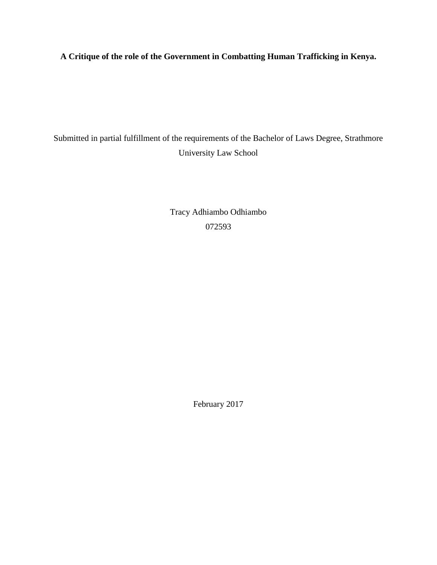**A Critique of the role of the Government in Combatting Human Trafficking in Kenya.**

Submitted in partial fulfillment of the requirements of the Bachelor of Laws Degree, Strathmore University Law School

> Tracy Adhiambo Odhiambo 072593

> > <span id="page-0-0"></span>February 2017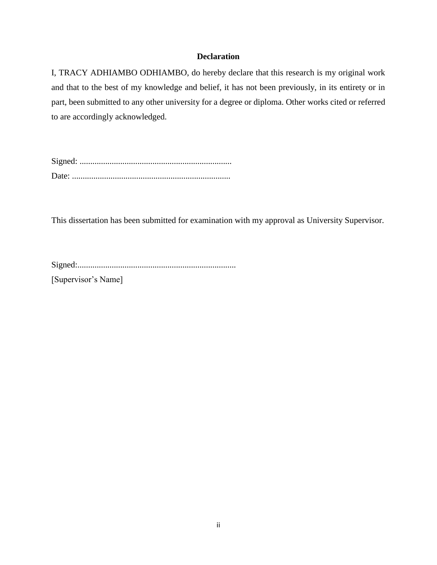## **Declaration**

I, TRACY ADHIAMBO ODHIAMBO, do hereby declare that this research is my original work and that to the best of my knowledge and belief, it has not been previously, in its entirety or in part, been submitted to any other university for a degree or diploma. Other works cited or referred to are accordingly acknowledged.

Signed: ....................................................................... Date: ..........................................................................

This dissertation has been submitted for examination with my approval as University Supervisor.

Signed:..........................................................................

[Supervisor's Name]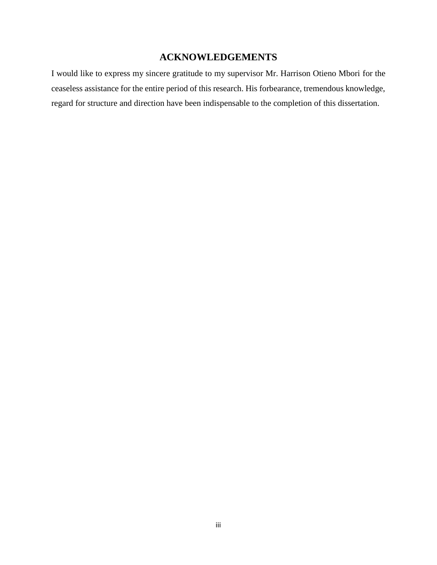## **ACKNOWLEDGEMENTS**

<span id="page-2-0"></span>I would like to express my sincere gratitude to my supervisor Mr. Harrison Otieno Mbori for the ceaseless assistance for the entire period of this research. His forbearance, tremendous knowledge, regard for structure and direction have been indispensable to the completion of this dissertation.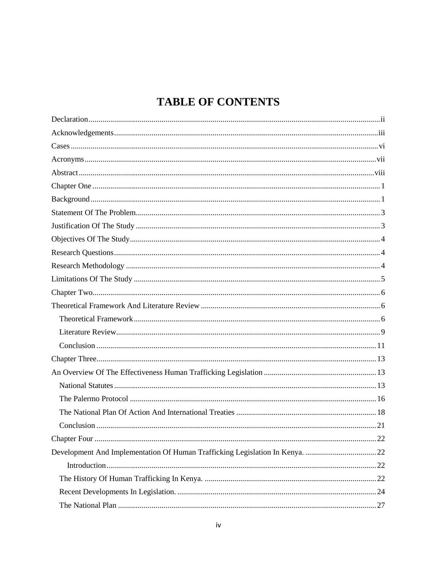# **TABLE OF CONTENTS**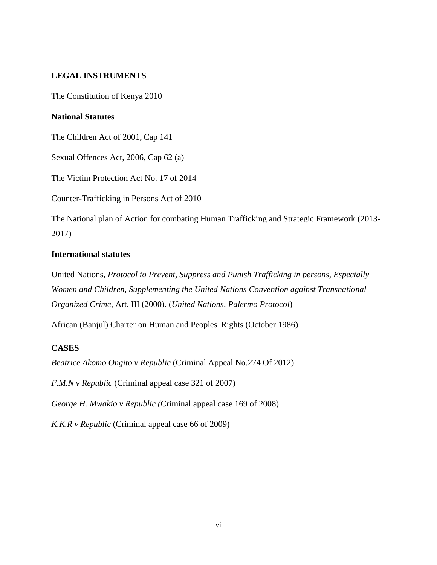## **LEGAL INSTRUMENTS**

The Constitution of Kenya 2010

## **National Statutes**

The Children Act of 2001, Cap 141

Sexual Offences Act, 2006, Cap 62 (a)

The Victim Protection Act No. 17 of 2014

Counter-Trafficking in Persons Act of 2010

The National plan of Action for combating Human Trafficking and Strategic Framework (2013- 2017)

## **International statutes**

United Nations, *Protocol to Prevent, Suppress and Punish Trafficking in persons, Especially Women and Children, Supplementing the United Nations Convention against Transnational Organized Crime*, Art. III (2000). (*United Nations, Palermo Protocol*)

African (Banjul) Charter on Human and Peoples' Rights (October 1986)

## <span id="page-5-0"></span>**CASES**

*Beatrice Akomo Ongito v Republic* (Criminal Appeal No.274 Of 2012)

*F.M.N v Republic* (Criminal appeal case 321 of 2007)

*George H. Mwakio v Republic (*Criminal appeal case 169 of 2008)

*K.K.R v Republic* (Criminal appeal case 66 of 2009)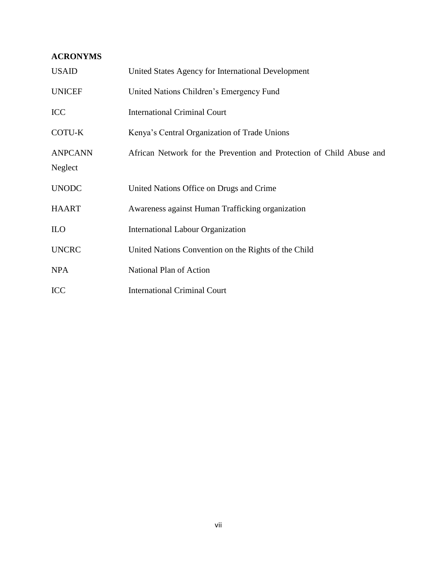## <span id="page-6-0"></span>**ACRONYMS**

| <b>USAID</b>   | United States Agency for International Development                   |
|----------------|----------------------------------------------------------------------|
| <b>UNICEF</b>  | United Nations Children's Emergency Fund                             |
| <b>ICC</b>     | <b>International Criminal Court</b>                                  |
| COTU-K         | Kenya's Central Organization of Trade Unions                         |
| <b>ANPCANN</b> | African Network for the Prevention and Protection of Child Abuse and |
| Neglect        |                                                                      |
| <b>UNODC</b>   | United Nations Office on Drugs and Crime                             |
| <b>HAART</b>   | Awareness against Human Trafficking organization                     |
| <b>ILO</b>     | <b>International Labour Organization</b>                             |
| <b>UNCRC</b>   | United Nations Convention on the Rights of the Child                 |
| <b>NPA</b>     | National Plan of Action                                              |
| <b>ICC</b>     | <b>International Criminal Court</b>                                  |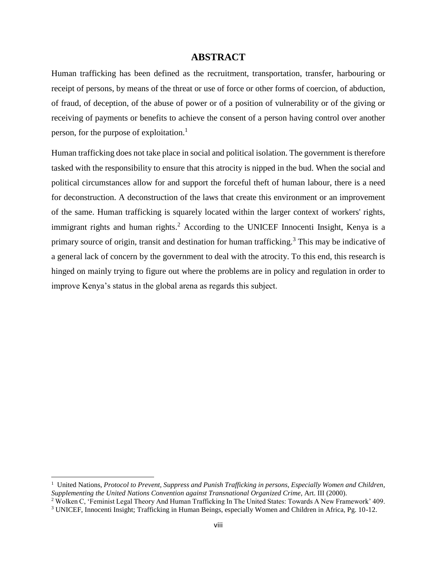## **ABSTRACT**

<span id="page-7-0"></span>Human trafficking has been defined as the recruitment, transportation, transfer, harbouring or receipt of persons, by means of the threat or use of force or other forms of coercion, of abduction, of fraud, of deception, of the abuse of power or of a position of vulnerability or of the giving or receiving of payments or benefits to achieve the consent of a person having control over another person, for the purpose of exploitation.<sup>1</sup>

Human trafficking does not take place in social and political isolation. The government is therefore tasked with the responsibility to ensure that this atrocity is nipped in the bud. When the social and political circumstances allow for and support the forceful theft of human labour, there is a need for deconstruction. A deconstruction of the laws that create this environment or an improvement of the same. Human trafficking is squarely located within the larger context of workers' rights, immigrant rights and human rights.<sup>2</sup> According to the UNICEF Innocenti Insight, Kenya is a primary source of origin, transit and destination for human trafficking.<sup>3</sup> This may be indicative of a general lack of concern by the government to deal with the atrocity. To this end, this research is hinged on mainly trying to figure out where the problems are in policy and regulation in order to improve Kenya's status in the global arena as regards this subject.

<sup>&</sup>lt;sup>1</sup> United Nations, *Protocol to Prevent, Suppress and Punish Trafficking in persons, Especially Women and Children, Supplementing the United Nations Convention against Transnational Organized Crime*, Art. III (2000).

<sup>2</sup> Wolken C, 'Feminist Legal Theory And Human Trafficking In The United States: Towards A New Framework' 409.

<sup>3</sup> UNICEF, Innocenti Insight; Trafficking in Human Beings, especially Women and Children in Africa, Pg. 10-12.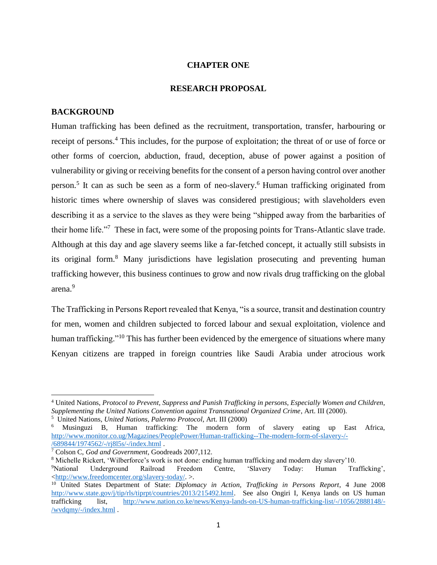#### **CHAPTER ONE**

## **RESEARCH PROPOSAL**

#### <span id="page-8-1"></span><span id="page-8-0"></span>**BACKGROUND**

 $\overline{a}$ 

Human trafficking has been defined as the recruitment, transportation, transfer, harbouring or receipt of persons.<sup>4</sup> This includes, for the purpose of exploitation; the threat of or use of force or other forms of coercion, abduction, fraud, deception, abuse of power against a position of vulnerability or giving or receiving benefits for the consent of a person having control over another person.<sup>5</sup> It can as such be seen as a form of neo-slavery.<sup>6</sup> Human trafficking originated from historic times where ownership of slaves was considered prestigious; with slaveholders even describing it as a service to the slaves as they were being "shipped away from the barbarities of their home life."<sup>7</sup> These in fact, were some of the proposing points for Trans-Atlantic slave trade. Although at this day and age slavery seems like a far-fetched concept, it actually still subsists in its original form.<sup>8</sup> Many jurisdictions have legislation prosecuting and preventing human trafficking however, this business continues to grow and now rivals drug trafficking on the global arena.<sup>9</sup>

The Trafficking in Persons Report revealed that Kenya, "is a source, transit and destination country for men, women and children subjected to forced labour and sexual exploitation, violence and human trafficking."<sup>10</sup> This has further been evidenced by the emergence of situations where many Kenyan citizens are trapped in foreign countries like Saudi Arabia under atrocious work

<sup>4</sup> United Nations, *Protocol to Prevent, Suppress and Punish Trafficking in persons, Especially Women and Children, Supplementing the United Nations Convention against Transnational Organized Crime*, Art. III (2000).

<sup>5</sup> United Nations, *United Nations, Palermo Protocol*, Art. III (2000)

<sup>6</sup> Musinguzi B, Human trafficking: The modern form of slavery eating up East Africa, [http://www.monitor.co.ug/Magazines/PeoplePower/Human-trafficking--The-modern-form-of-slavery-/-](http://www.monitor.co.ug/Magazines/PeoplePower/Human-trafficking--The-modern-form-of-slavery-/-/689844/1974562/-/rj8l5s/-/index.html) [/689844/1974562/-/rj8l5s/-/index.html](http://www.monitor.co.ug/Magazines/PeoplePower/Human-trafficking--The-modern-form-of-slavery-/-/689844/1974562/-/rj8l5s/-/index.html) .

<sup>7</sup> Colson C, *God and Government*, Goodreads 2007,112.

<sup>8</sup> Michelle Rickert, 'Wilberforce's work is not done: ending human trafficking and modern day slavery'10.

<sup>9</sup>National Underground Railroad Freedom Centre, 'Slavery Today: Human Trafficking', [<http://www.freedomcenter.org/slavery-today/.](http://www.freedomcenter.org/slavery-today/) >.

<sup>10</sup> United States Department of State: *Diplomacy in Action, Trafficking in Persons Report*, 4 June 2008 [http://www.state.gov/j/tip/rls/tiprpt/countries/2013/215492.html.](http://www.state.gov/j/tip/rls/tiprpt/countries/2013/215492.html) See also Ongiri I, Kenya lands on US human trafficking list, [http://www.nation.co.ke/news/Kenya-lands-on-US-human-trafficking-list/-/1056/2888148/-](http://www.nation.co.ke/news/Kenya-lands-on-US-human-trafficking-list/-/1056/2888148/-/wvdqmy/-/index.html) [/wvdqmy/-/index.html](http://www.nation.co.ke/news/Kenya-lands-on-US-human-trafficking-list/-/1056/2888148/-/wvdqmy/-/index.html) .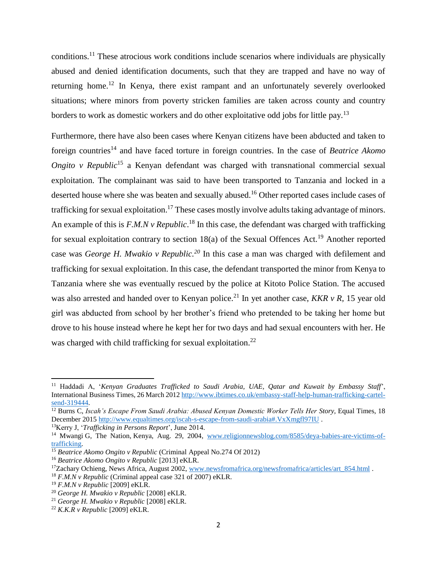conditions.<sup>11</sup> These atrocious work conditions include scenarios where individuals are physically abused and denied identification documents, such that they are trapped and have no way of returning home.<sup>12</sup> In Kenya, there exist rampant and an unfortunately severely overlooked situations; where minors from poverty stricken families are taken across county and country borders to work as domestic workers and do other exploitative odd jobs for little pay.<sup>13</sup>

Furthermore, there have also been cases where Kenyan citizens have been abducted and taken to foreign countries<sup>14</sup> and have faced torture in foreign countries. In the case of *Beatrice Akomo Ongito v Republic*<sup>15</sup> a Kenyan defendant was charged with transnational commercial sexual exploitation. The complainant was said to have been transported to Tanzania and locked in a deserted house where she was beaten and sexually abused.<sup>16</sup> Other reported cases include cases of trafficking for sexual exploitation.<sup>17</sup> These cases mostly involve adults taking advantage of minors. An example of this is *F.M.N v Republic*.<sup>18</sup> In this case, the defendant was charged with trafficking for sexual exploitation contrary to section  $18(a)$  of the Sexual Offences Act.<sup>19</sup> Another reported case was *George H. Mwakio v Republic. <sup>20</sup>* In this case a man was charged with defilement and trafficking for sexual exploitation. In this case, the defendant transported the minor from Kenya to Tanzania where she was eventually rescued by the police at Kitoto Police Station. The accused was also arrested and handed over to Kenyan police.<sup>21</sup> In yet another case, *KKR v R*, 15 year old girl was abducted from school by her brother's friend who pretended to be taking her home but drove to his house instead where he kept her for two days and had sexual encounters with her. He was charged with child trafficking for sexual exploitation.<sup>22</sup>

<sup>11</sup> Haddadi A, '*Kenyan Graduates Trafficked to Saudi Arabia, UAE, Qatar and Kuwait by Embassy Staff*', International Business Times, 26 March 201[2 http://www.ibtimes.co.uk/embassy-staff-help-human-trafficking-cartel](http://www.ibtimes.co.uk/embassy-staff-help-human-trafficking-cartel-send-319444)[send-319444.](http://www.ibtimes.co.uk/embassy-staff-help-human-trafficking-cartel-send-319444)

<sup>12</sup> Burns C, *Iscah's Escape From Saudi Arabia: Abused Kenyan Domestic Worker Tells Her Story,* Equal Times, 18 December 2015<http://www.equaltimes.org/iscah-s-escape-from-saudi-arabia#.VxXmgfl97IU> .

<sup>13</sup>Kerry J, '*Trafficking in Persons Report*', June 2014.

<sup>&</sup>lt;sup>14</sup> Mwangi G, The Nation, Kenya, Aug. 29, 2004, [www.religionnewsblog.com/8585/deya-babies-are-victims-of](http://www.religionnewsblog.com/8585/deya-babies-are-victims-of-trafficking)[trafficking.](http://www.religionnewsblog.com/8585/deya-babies-are-victims-of-trafficking)

<sup>&</sup>lt;sup>15</sup> Beatrice Akomo Ongito v Republic (Criminal Appeal No.274 Of 2012)

<sup>16</sup> *Beatrice Akomo Ongito v Republic* [2013] eKLR.

<sup>&</sup>lt;sup>17</sup>Zachary Ochieng, News Africa, August 2002, www.newsfromafrica.org/newsfromafrica/articles/art 854.html .

<sup>18</sup> *F.M.N v Republic* (Criminal appeal case 321 of 2007) eKLR.

<sup>19</sup> *F.M.N v Republic* [2009] eKLR.

<sup>20</sup> *George H. Mwakio v Republic* [2008] eKLR.

<sup>21</sup> *George H. Mwakio v Republic* [2008] eKLR.

<sup>22</sup> *K.K.R v Republic* [2009] eKLR.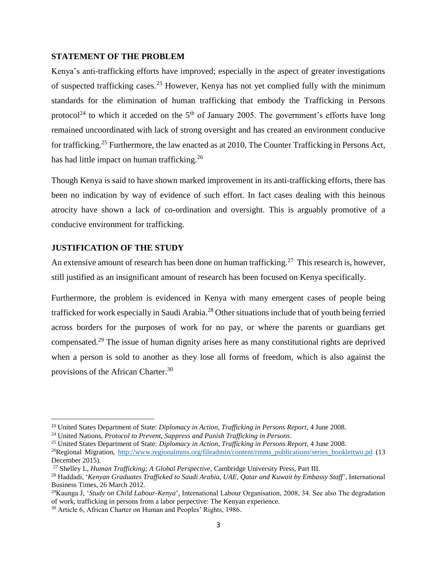## <span id="page-10-0"></span>**STATEMENT OF THE PROBLEM**

Kenya's anti-trafficking efforts have improved; especially in the aspect of greater investigations of suspected trafficking cases.<sup>23</sup> However, Kenya has not yet complied fully with the minimum standards for the elimination of human trafficking that embody the Trafficking in Persons protocol<sup>24</sup> to which it acceded on the  $5<sup>th</sup>$  of January 2005. The government's efforts have long remained uncoordinated with lack of strong oversight and has created an environment conducive for trafficking.<sup>25</sup> Furthermore, the law enacted as at 2010, The Counter Trafficking in Persons Act, has had little impact on human trafficking.<sup>26</sup>

Though Kenya is said to have shown marked improvement in its anti-trafficking efforts, there has been no indication by way of evidence of such effort. In fact cases dealing with this heinous atrocity have shown a lack of co-ordination and oversight. This is arguably promotive of a conducive environment for trafficking.

## <span id="page-10-1"></span>**JUSTIFICATION OF THE STUDY**

 $\overline{a}$ 

An extensive amount of research has been done on human trafficking.<sup>27</sup> This research is, however, still justified as an insignificant amount of research has been focused on Kenya specifically.

Furthermore, the problem is evidenced in Kenya with many emergent cases of people being trafficked for work especially in Saudi Arabia. <sup>28</sup> Other situations include that of youth being ferried across borders for the purposes of work for no pay, or where the parents or guardians get compensated.<sup>29</sup> The issue of human dignity arises here as many constitutional rights are deprived when a person is sold to another as they lose all forms of freedom, which is also against the provisions of the African Charter.<sup>30</sup>

<sup>23</sup> United States Department of State: *Diplomacy in Action, Trafficking in Persons Report*, 4 June 2008.

<sup>24</sup> United Nations, *Protocol to Prevent, Suppress and Punish Trafficking in Persons*.

<sup>25</sup> United States Department of State: *Diplomacy in Action, Trafficking in Persons Report*, 4 June 2008.

<sup>&</sup>lt;sup>26</sup>Regional Migration, [http://www.regionalmms.org/fileadmin/content/rmms\\_publications/series\\_booklettwo.pd](http://www.regionalmms.org/fileadmin/content/rmms_publications/series_booklettwo.pd) (13 December 2015).

<sup>27</sup> Shelley L, *Human Trafficking; A Global Perspective*, Cambridge University Press, Part III.

<sup>28</sup> Haddadi, '*Kenyan Graduates Trafficked to Saudi Arabia, UAE, Qatar and Kuwait by Embassy Staff*', International Business Times, 26 March 2012.

<sup>29</sup>Kaunga J, '*Study on Child Labour-Kenya*', International Labour Organisation, 2008, 34. See also The degradation of work, trafficking in persons from a labor perpective: The Kenyan experience.

<sup>&</sup>lt;sup>30</sup> Article 6, African Charter on Human and Peoples' Rights, 1986.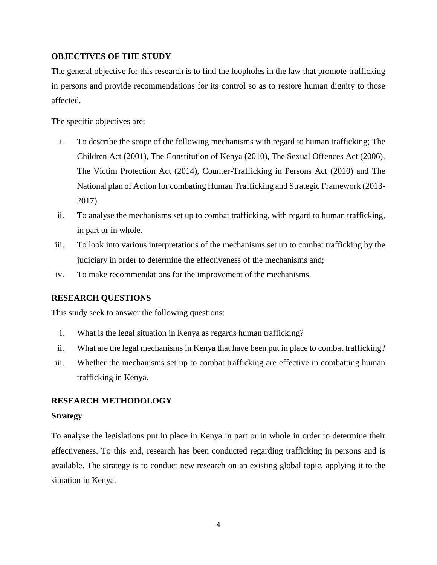## <span id="page-11-0"></span>**OBJECTIVES OF THE STUDY**

The general objective for this research is to find the loopholes in the law that promote trafficking in persons and provide recommendations for its control so as to restore human dignity to those affected.

The specific objectives are:

- i. To describe the scope of the following mechanisms with regard to human trafficking; The Children Act (2001), The Constitution of Kenya (2010), The Sexual Offences Act (2006), The Victim Protection Act (2014), Counter-Trafficking in Persons Act (2010) and The National plan of Action for combating Human Trafficking and Strategic Framework (2013- 2017).
- ii. To analyse the mechanisms set up to combat trafficking, with regard to human trafficking, in part or in whole.
- iii. To look into various interpretations of the mechanisms set up to combat trafficking by the judiciary in order to determine the effectiveness of the mechanisms and;
- iv. To make recommendations for the improvement of the mechanisms.

## <span id="page-11-1"></span>**RESEARCH QUESTIONS**

This study seek to answer the following questions:

- i. What is the legal situation in Kenya as regards human trafficking?
- ii. What are the legal mechanisms in Kenya that have been put in place to combat trafficking?
- iii. Whether the mechanisms set up to combat trafficking are effective in combatting human trafficking in Kenya.

## <span id="page-11-2"></span>**RESEARCH METHODOLOGY**

## **Strategy**

To analyse the legislations put in place in Kenya in part or in whole in order to determine their effectiveness. To this end, research has been conducted regarding trafficking in persons and is available. The strategy is to conduct new research on an existing global topic, applying it to the situation in Kenya.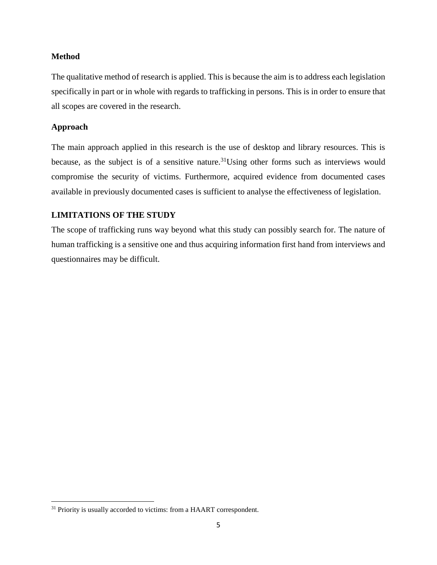## **Method**

The qualitative method of research is applied. This is because the aim is to address each legislation specifically in part or in whole with regards to trafficking in persons. This is in order to ensure that all scopes are covered in the research.

#### **Approach**

 $\overline{\phantom{a}}$ 

The main approach applied in this research is the use of desktop and library resources. This is because, as the subject is of a sensitive nature.<sup>31</sup>Using other forms such as interviews would compromise the security of victims. Furthermore, acquired evidence from documented cases available in previously documented cases is sufficient to analyse the effectiveness of legislation.

## <span id="page-12-0"></span>**LIMITATIONS OF THE STUDY**

The scope of trafficking runs way beyond what this study can possibly search for. The nature of human trafficking is a sensitive one and thus acquiring information first hand from interviews and questionnaires may be difficult.

<sup>&</sup>lt;sup>31</sup> Priority is usually accorded to victims: from a HAART correspondent.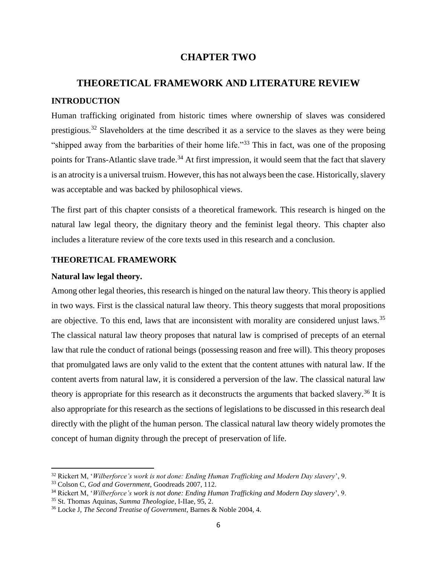## **CHAPTER TWO**

# <span id="page-13-2"></span><span id="page-13-1"></span><span id="page-13-0"></span>**THEORETICAL FRAMEWORK AND LITERATURE REVIEW INTRODUCTION**

Human trafficking originated from historic times where ownership of slaves was considered prestigious.<sup>32</sup> Slaveholders at the time described it as a service to the slaves as they were being "shipped away from the barbarities of their home life."<sup>33</sup> This in fact, was one of the proposing points for Trans-Atlantic slave trade.<sup>34</sup> At first impression, it would seem that the fact that slavery is an atrocity is a universal truism. However, this has not always been the case. Historically, slavery was acceptable and was backed by philosophical views.

The first part of this chapter consists of a theoretical framework. This research is hinged on the natural law legal theory, the dignitary theory and the feminist legal theory. This chapter also includes a literature review of the core texts used in this research and a conclusion.

## **THEORETICAL FRAMEWORK**

#### **Natural law legal theory.**

 $\overline{a}$ 

Among other legal theories, this research is hinged on the natural law theory. This theory is applied in two ways. First is the classical natural law theory. This theory suggests that moral propositions are objective. To this end, laws that are inconsistent with morality are considered unjust laws.<sup>35</sup> The classical natural law theory proposes that natural law is comprised of precepts of an eternal law that rule the conduct of rational beings (possessing reason and free will). This theory proposes that promulgated laws are only valid to the extent that the content attunes with natural law. If the content averts from natural law, it is considered a perversion of the law. The classical natural law theory is appropriate for this research as it deconstructs the arguments that backed slavery.<sup>36</sup> It is also appropriate for this research as the sections of legislations to be discussed in this research deal directly with the plight of the human person. The classical natural law theory widely promotes the concept of human dignity through the precept of preservation of life.

<sup>32</sup> Rickert M, '*Wilberforce's work is not done: Ending Human Trafficking and Modern Day slavery*', 9.

<sup>33</sup> Colson C, *God and Government*, Goodreads 2007, 112.

<sup>34</sup> Rickert M, '*Wilberforce's work is not done: Ending Human Trafficking and Modern Day slavery*', 9.

<sup>35</sup> St. Thomas Aquinas, *Summa Theologiae*, I-IIae, 95, 2.

<sup>36</sup> Locke J, *The Second Treatise of Government*, Barnes & Noble 2004, 4.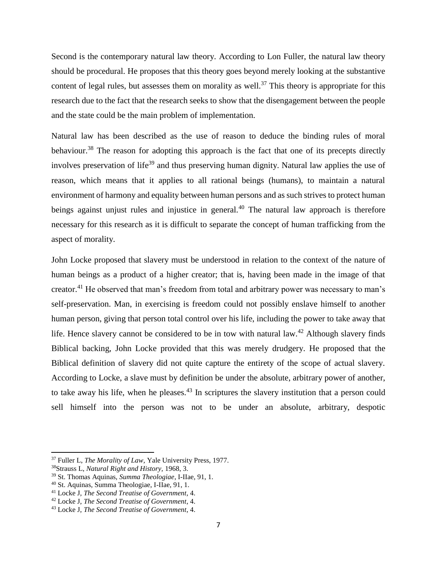Second is the contemporary natural law theory. According to Lon Fuller, the natural law theory should be procedural. He proposes that this theory goes beyond merely looking at the substantive content of legal rules, but assesses them on morality as well.<sup>37</sup> This theory is appropriate for this research due to the fact that the research seeks to show that the disengagement between the people and the state could be the main problem of implementation.

Natural law has been described as the use of reason to deduce the binding rules of moral behaviour.<sup>38</sup> The reason for adopting this approach is the fact that one of its precepts directly involves preservation of life<sup>39</sup> and thus preserving human dignity. Natural law applies the use of reason, which means that it applies to all rational beings (humans), to maintain a natural environment of harmony and equality between human persons and as such strives to protect human beings against unjust rules and injustice in general.<sup>40</sup> The natural law approach is therefore necessary for this research as it is difficult to separate the concept of human trafficking from the aspect of morality.

John Locke proposed that slavery must be understood in relation to the context of the nature of human beings as a product of a higher creator; that is, having been made in the image of that creator.<sup>41</sup> He observed that man's freedom from total and arbitrary power was necessary to man's self-preservation. Man, in exercising is freedom could not possibly enslave himself to another human person, giving that person total control over his life, including the power to take away that life. Hence slavery cannot be considered to be in tow with natural law.<sup>42</sup> Although slavery finds Biblical backing, John Locke provided that this was merely drudgery. He proposed that the Biblical definition of slavery did not quite capture the entirety of the scope of actual slavery. According to Locke, a slave must by definition be under the absolute, arbitrary power of another, to take away his life, when he pleases.<sup>43</sup> In scriptures the slavery institution that a person could sell himself into the person was not to be under an absolute, arbitrary, despotic

<sup>37</sup> Fuller L, *The Morality of Law,* Yale University Press, 1977.

<sup>38</sup>Strauss L, *Natural Right and History,* 1968, 3.

<sup>39</sup> St. Thomas Aquinas, *Summa Theologiae*, I-IIae, 91, 1.

<sup>40</sup> St. Aquinas, Summa Theologiae, I-IIae, 91, 1.

<sup>41</sup> Locke J, *The Second Treatise of Government*, 4.

<sup>42</sup> Locke J, *The Second Treatise of Government*, 4.

<sup>43</sup> Locke J, *The Second Treatise of Government*, 4.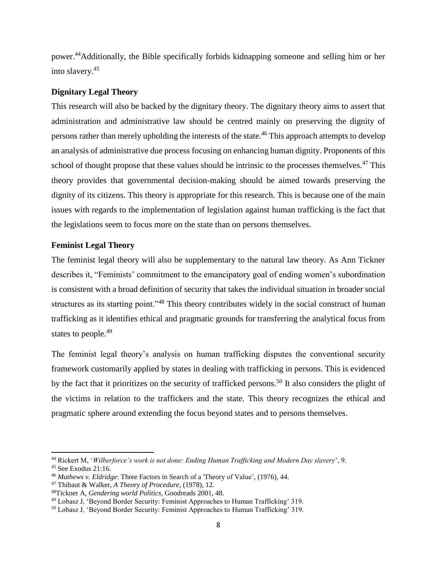power.<sup>44</sup>Additionally, the Bible specifically forbids kidnapping someone and selling him or her into slavery. 45

## **Dignitary Legal Theory**

This research will also be backed by the dignitary theory. The dignitary theory aims to assert that administration and administrative law should be centred mainly on preserving the dignity of persons rather than merely upholding the interests of the state.<sup>46</sup> This approach attempts to develop an analysis of administrative due process focusing on enhancing human dignity. Proponents of this school of thought propose that these values should be intrinsic to the processes themselves.<sup>47</sup> This theory provides that governmental decision-making should be aimed towards preserving the dignity of its citizens. This theory is appropriate for this research. This is because one of the main issues with regards to the implementation of legislation against human trafficking is the fact that the legislations seem to focus more on the state than on persons themselves.

## **Feminist Legal Theory**

The feminist legal theory will also be supplementary to the natural law theory. As Ann Tickner describes it, "Feminists' commitment to the emancipatory goal of ending women's subordination is consistent with a broad definition of security that takes the individual situation in broader social structures as its starting point."<sup>48</sup> This theory contributes widely in the social construct of human trafficking as it identifies ethical and pragmatic grounds for transferring the analytical focus from states to people.<sup>49</sup>

The feminist legal theory's analysis on human trafficking disputes the conventional security framework customarily applied by states in dealing with trafficking in persons. This is evidenced by the fact that it prioritizes on the security of trafficked persons.<sup>50</sup> It also considers the plight of the victims in relation to the traffickers and the state. This theory recognizes the ethical and pragmatic sphere around extending the focus beyond states and to persons themselves.

<sup>44</sup> Rickert M, '*Wilberforce's work is not done: Ending Human Trafficking and Modern Day slavery*', 9.

 $45$  See Exodus 21:16.

<sup>46</sup> *Mathews v. Eldridge*: Three Factors in Search of a 'Theory of Value', (1976), 44.

<sup>47</sup> Thibaut & Walker, *A Theory of Procedure*, (1978), 12.

<sup>48</sup>Tickner A, *Gendering world Politics*, Goodreads 2001, 48.

<sup>49</sup> Lobasz J, 'Beyond Border Security: Feminist Approaches to Human Trafficking' 319.

<sup>50</sup> Lobasz J, 'Beyond Border Security: Feminist Approaches to Human Trafficking' 319.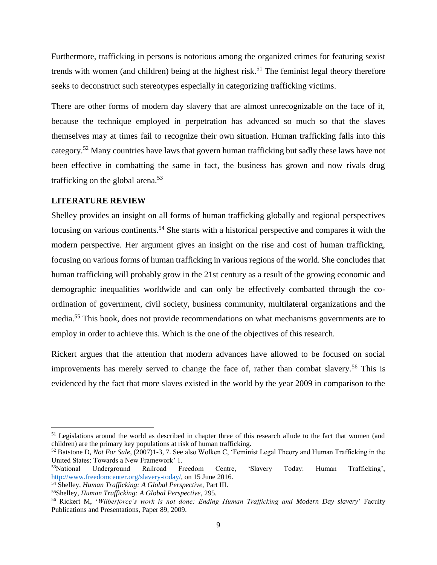Furthermore, trafficking in persons is notorious among the organized crimes for featuring sexist trends with women (and children) being at the highest risk.<sup>51</sup> The feminist legal theory therefore seeks to deconstruct such stereotypes especially in categorizing trafficking victims.

There are other forms of modern day slavery that are almost unrecognizable on the face of it, because the technique employed in perpetration has advanced so much so that the slaves themselves may at times fail to recognize their own situation. Human trafficking falls into this category.<sup>52</sup> Many countries have laws that govern human trafficking but sadly these laws have not been effective in combatting the same in fact, the business has grown and now rivals drug trafficking on the global arena.<sup>53</sup>

#### <span id="page-16-0"></span>**LITERATURE REVIEW**

 $\overline{\phantom{a}}$ 

Shelley provides an insight on all forms of human trafficking globally and regional perspectives focusing on various continents.<sup>54</sup> She starts with a historical perspective and compares it with the modern perspective. Her argument gives an insight on the rise and cost of human trafficking, focusing on various forms of human trafficking in various regions of the world. She concludes that human trafficking will probably grow in the 21st century as a result of the growing economic and demographic inequalities worldwide and can only be effectively combatted through the coordination of government, civil society, business community, multilateral organizations and the media.<sup>55</sup> This book, does not provide recommendations on what mechanisms governments are to employ in order to achieve this. Which is the one of the objectives of this research.

Rickert argues that the attention that modern advances have allowed to be focused on social improvements has merely served to change the face of, rather than combat slavery.<sup>56</sup> This is evidenced by the fact that more slaves existed in the world by the year 2009 in comparison to the

<sup>&</sup>lt;sup>51</sup> Legislations around the world as described in chapter three of this research allude to the fact that women (and children) are the primary key populations at risk of human trafficking.

<sup>52</sup> Batstone D, *Not For Sale*, (2007)1-3, 7. See also Wolken C, 'Feminist Legal Theory and Human Trafficking in the United States: Towards a New Framework' 1.

<sup>53</sup>National Underground Railroad Freedom Centre, 'Slavery Today: Human Trafficking', [http://www.freedomcenter.org/slavery-today/,](http://www.freedomcenter.org/slavery-today/) on 15 June 2016.

<sup>54</sup> Shelley, *Human Trafficking: A Global Perspective,* Part III.

<sup>55</sup>Shelley, *Human Trafficking: A Global Perspective*, 295.

<sup>56</sup> Rickert M, '*Wilberforce's work is not done: Ending Human Trafficking and Modern Day slavery*' Faculty Publications and Presentations, Paper 89, 2009.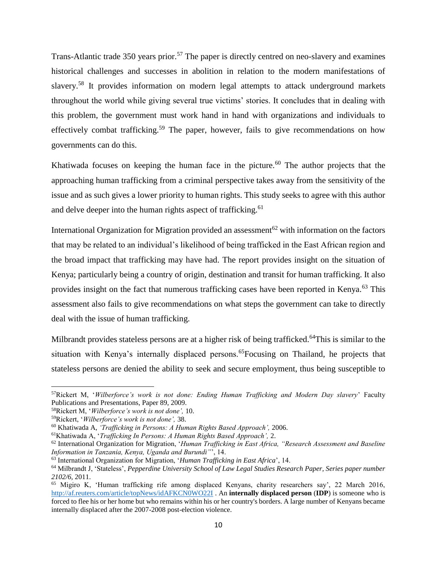Trans-Atlantic trade 350 years prior.<sup>57</sup> The paper is directly centred on neo-slavery and examines historical challenges and successes in abolition in relation to the modern manifestations of slavery.<sup>58</sup> It provides information on modern legal attempts to attack underground markets throughout the world while giving several true victims' stories. It concludes that in dealing with this problem, the government must work hand in hand with organizations and individuals to effectively combat trafficking.<sup>59</sup> The paper, however, fails to give recommendations on how governments can do this.

Khatiwada focuses on keeping the human face in the picture.<sup>60</sup> The author projects that the approaching human trafficking from a criminal perspective takes away from the sensitivity of the issue and as such gives a lower priority to human rights. This study seeks to agree with this author and delve deeper into the human rights aspect of trafficking.<sup>61</sup>

International Organization for Migration provided an assessment<sup>62</sup> with information on the factors that may be related to an individual's likelihood of being trafficked in the East African region and the broad impact that trafficking may have had. The report provides insight on the situation of Kenya; particularly being a country of origin, destination and transit for human trafficking. It also provides insight on the fact that numerous trafficking cases have been reported in Kenya.<sup>63</sup> This assessment also fails to give recommendations on what steps the government can take to directly deal with the issue of human trafficking.

Milbrandt provides stateless persons are at a higher risk of being trafficked.<sup>64</sup>This is similar to the situation with Kenya's internally displaced persons.<sup>65</sup>Focusing on Thailand, he projects that stateless persons are denied the ability to seek and secure employment, thus being susceptible to

l

<sup>57</sup>Rickert M, '*Wilberforce's work is not done: Ending Human Trafficking and Modern Day slavery*' Faculty Publications and Presentations, Paper 89, 2009.

<sup>58</sup>Rickert M, '*Wilberforce's work is not done',* 10.

<sup>59</sup>Rickert, '*Wilberforce's work is not done',* 38.

<sup>60</sup> Khatiwada A, *'Trafficking in Persons: A Human Rights Based Approach',* 2006.

<sup>61</sup>Khatiwada A, '*Trafficking In Persons: A Human Rights Based Approach',* 2.

<sup>62</sup> International Organization for Migration, '*Human Trafficking in East Africa, "Research Assessment and Baseline Information in Tanzania, Kenya, Uganda and Burundi"*', 14.

<sup>63</sup> International Organization for Migration, '*Human Trafficking in East Africa*', 14.

<sup>64</sup> Milbrandt J, 'Stateless', *Pepperdine University School of Law Legal Studies Research Paper, Series paper number 2102/6,* 2011.

<sup>65</sup> Migiro K, 'Human trafficking rife among displaced Kenyans, charity researchers say', 22 March 2016, <http://af.reuters.com/article/topNews/idAFKCN0WO22I> . An **internally displaced person** (**IDP**) is someone who is forced to flee his or her home but who remains within his or her country's borders. A large number of Kenyans became internally displaced after the 2007-2008 post-election violence.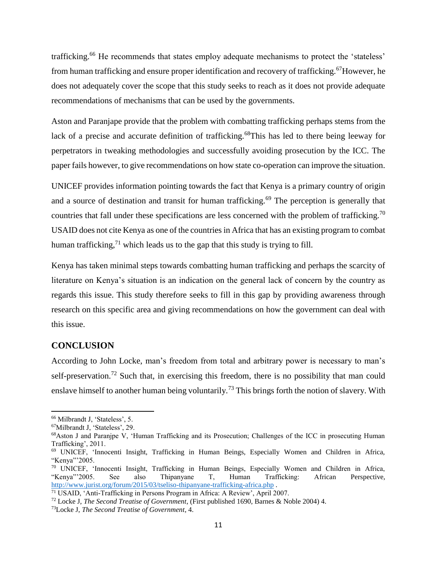trafficking.<sup>66</sup> He recommends that states employ adequate mechanisms to protect the 'stateless' from human trafficking and ensure proper identification and recovery of trafficking.<sup>67</sup>However, he does not adequately cover the scope that this study seeks to reach as it does not provide adequate recommendations of mechanisms that can be used by the governments.

Aston and Paranjape provide that the problem with combatting trafficking perhaps stems from the lack of a precise and accurate definition of trafficking.<sup>68</sup>This has led to there being leeway for perpetrators in tweaking methodologies and successfully avoiding prosecution by the ICC. The paper fails however, to give recommendations on how state co-operation can improve the situation.

UNICEF provides information pointing towards the fact that Kenya is a primary country of origin and a source of destination and transit for human trafficking.<sup>69</sup> The perception is generally that countries that fall under these specifications are less concerned with the problem of trafficking.<sup>70</sup> USAID does not cite Kenya as one of the countries in Africa that has an existing program to combat human trafficking, $^{71}$  which leads us to the gap that this study is trying to fill.

Kenya has taken minimal steps towards combatting human trafficking and perhaps the scarcity of literature on Kenya's situation is an indication on the general lack of concern by the country as regards this issue. This study therefore seeks to fill in this gap by providing awareness through research on this specific area and giving recommendations on how the government can deal with this issue.

## <span id="page-18-0"></span>**CONCLUSION**

According to John Locke, man's freedom from total and arbitrary power is necessary to man's self-preservation.<sup>72</sup> Such that, in exercising this freedom, there is no possibility that man could enslave himself to another human being voluntarily.<sup>73</sup> This brings forth the notion of slavery. With

 $\overline{a}$ 

<sup>66</sup> Milbrandt J, 'Stateless', 5.

<sup>67</sup>Milbrandt J, 'Stateless', 29.

<sup>68</sup>Aston J and Paranjpe V, 'Human Trafficking and its Prosecution; Challenges of the ICC in prosecuting Human Trafficking', 2011.

<sup>69</sup> UNICEF, 'Innocenti Insight, Trafficking in Human Beings, Especially Women and Children in Africa, "Kenya"'2005.

<sup>70</sup> UNICEF, 'Innocenti Insight, Trafficking in Human Beings, Especially Women and Children in Africa, "Kenya"'2005. See also Thipanyane T, Human Trafficking: African Perspective, <http://www.jurist.org/forum/2015/03/tseliso-thipanyane-trafficking-africa.php> .

<sup>71</sup> USAID, 'Anti-Trafficking in Persons Program in Africa: A Review', April 2007.

<sup>72</sup> Locke J, *The Second Treatise of Government*, (First published 1690, Barnes & Noble 2004) 4.

<sup>73</sup>Locke J, *The Second Treatise of Government*, 4.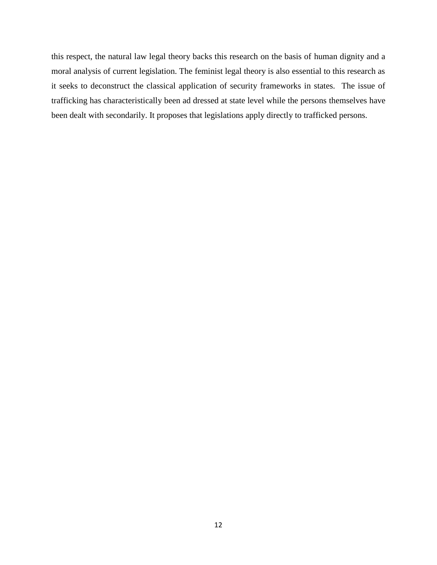this respect, the natural law legal theory backs this research on the basis of human dignity and a moral analysis of current legislation. The feminist legal theory is also essential to this research as it seeks to deconstruct the classical application of security frameworks in states. The issue of trafficking has characteristically been ad dressed at state level while the persons themselves have been dealt with secondarily. It proposes that legislations apply directly to trafficked persons.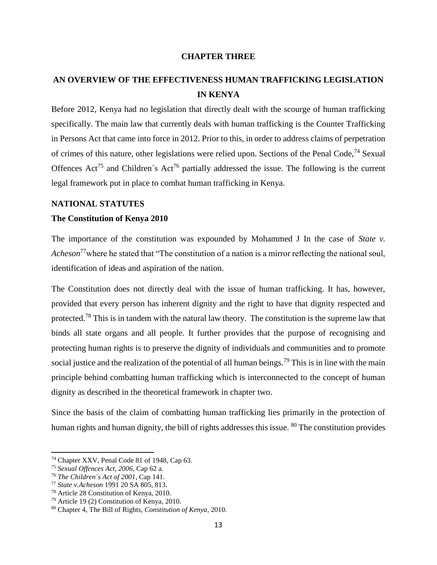#### **CHAPTER THREE**

## <span id="page-20-1"></span><span id="page-20-0"></span>**AN OVERVIEW OF THE EFFECTIVENESS HUMAN TRAFFICKING LEGISLATION IN KENYA**

Before 2012, Kenya had no legislation that directly dealt with the scourge of human trafficking specifically. The main law that currently deals with human trafficking is the Counter Trafficking in Persons Act that came into force in 2012. Prior to this, in order to address claims of perpetration of crimes of this nature, other legislations were relied upon. Sections of the Penal Code,<sup>74</sup> Sexual Offences  $Act^{75}$  and Children's  $Act^{76}$  partially addressed the issue. The following is the current legal framework put in place to combat human trafficking in Kenya.

#### <span id="page-20-2"></span>**NATIONAL STATUTES**

#### **The Constitution of Kenya 2010**

The importance of the constitution was expounded by Mohammed J In the case of *State v. Acheson*<sup>77</sup>where he stated that "The constitution of a nation is a mirror reflecting the national soul, identification of ideas and aspiration of the nation.

The Constitution does not directly deal with the issue of human trafficking. It has, however, provided that every person has inherent dignity and the right to have that dignity respected and protected.<sup>78</sup> This is in tandem with the natural law theory. The constitution is the supreme law that binds all state organs and all people. It further provides that the purpose of recognising and protecting human rights is to preserve the dignity of individuals and communities and to promote social justice and the realization of the potential of all human beings.<sup>79</sup> This is in line with the main principle behind combatting human trafficking which is interconnected to the concept of human dignity as described in the theoretical framework in chapter two.

Since the basis of the claim of combatting human trafficking lies primarily in the protection of human rights and human dignity, the bill of rights addresses this issue. <sup>80</sup> The constitution provides

<sup>74</sup> Chapter XXV, Penal Code 81 of 1948, Cap 63.

<sup>75</sup> *Sexual Offences Act, 2006*, Cap 62 a.

<sup>76</sup> *The Children´s Act of 2001*, Cap 141.

<sup>77</sup> *State v.Acheson* 1991 20 SA 805, 813.

<sup>78</sup> Article 28 Constitution of Kenya, 2010.

<sup>79</sup> Article 19 (2) Constitution of Kenya, 2010.

<sup>80</sup> Chapter 4, The Bill of Rights, *Constitution of Kenya*, 2010.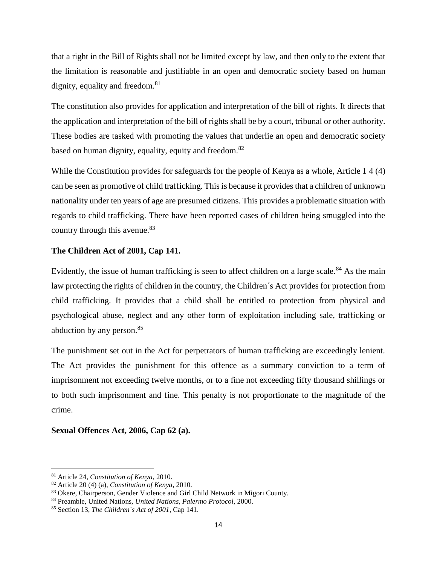that a right in the Bill of Rights shall not be limited except by law, and then only to the extent that the limitation is reasonable and justifiable in an open and democratic society based on human dignity, equality and freedom.<sup>81</sup>

The constitution also provides for application and interpretation of the bill of rights. It directs that the application and interpretation of the bill of rights shall be by a court, tribunal or other authority. These bodies are tasked with promoting the values that underlie an open and democratic society based on human dignity, equality, equity and freedom.<sup>82</sup>

While the Constitution provides for safeguards for the people of Kenya as a whole, Article 1 4 (4) can be seen as promotive of child trafficking. This is because it provides that a children of unknown nationality under ten years of age are presumed citizens. This provides a problematic situation with regards to child trafficking. There have been reported cases of children being smuggled into the country through this avenue.<sup>83</sup>

## **The Children Act of 2001, Cap 141.**

Evidently, the issue of human trafficking is seen to affect children on a large scale.<sup>84</sup> As the main law protecting the rights of children in the country, the Children´s Act provides for protection from child trafficking. It provides that a child shall be entitled to protection from physical and psychological abuse, neglect and any other form of exploitation including sale, trafficking or abduction by any person.<sup>85</sup>

The punishment set out in the Act for perpetrators of human trafficking are exceedingly lenient. The Act provides the punishment for this offence as a summary conviction to a term of imprisonment not exceeding twelve months, or to a fine not exceeding fifty thousand shillings or to both such imprisonment and fine. This penalty is not proportionate to the magnitude of the crime.

#### **Sexual Offences Act, 2006, Cap 62 (a).**

 $\overline{a}$ 

<sup>81</sup> Article 24*, Constitution of Kenya*, 2010.

<sup>82</sup> Article 20 (4) (a), *Constitution of Kenya*, 2010.

<sup>83</sup> Okere, Chairperson, Gender Violence and Girl Child Network in Migori County.

<sup>84</sup> Preamble, United Nations, *United Nations, Palermo Protocol*, 2000.

<sup>85</sup> Section 13, *The Children´s Act of 2001*, Cap 141.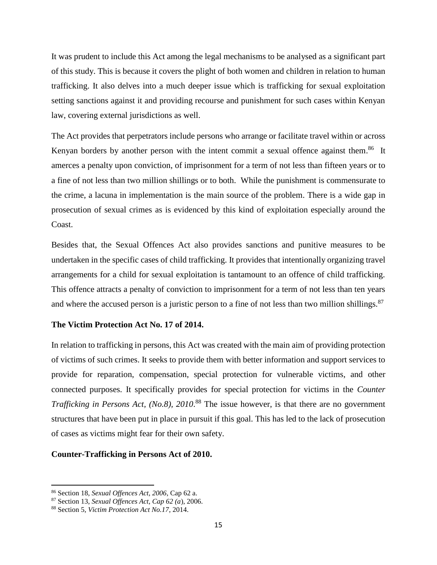It was prudent to include this Act among the legal mechanisms to be analysed as a significant part of this study. This is because it covers the plight of both women and children in relation to human trafficking. It also delves into a much deeper issue which is trafficking for sexual exploitation setting sanctions against it and providing recourse and punishment for such cases within Kenyan law, covering external jurisdictions as well.

The Act provides that perpetrators include persons who arrange or facilitate travel within or across Kenyan borders by another person with the intent commit a sexual offence against them.<sup>86</sup> It amerces a penalty upon conviction, of imprisonment for a term of not less than fifteen years or to a fine of not less than two million shillings or to both. While the punishment is commensurate to the crime, a lacuna in implementation is the main source of the problem. There is a wide gap in prosecution of sexual crimes as is evidenced by this kind of exploitation especially around the Coast.

Besides that, the Sexual Offences Act also provides sanctions and punitive measures to be undertaken in the specific cases of child trafficking. It provides that intentionally organizing travel arrangements for a child for sexual exploitation is tantamount to an offence of child trafficking. This offence attracts a penalty of conviction to imprisonment for a term of not less than ten years and where the accused person is a juristic person to a fine of not less than two million shillings.<sup>87</sup>

#### **The Victim Protection Act No. 17 of 2014.**

In relation to trafficking in persons, this Act was created with the main aim of providing protection of victims of such crimes. It seeks to provide them with better information and support services to provide for reparation, compensation, special protection for vulnerable victims, and other connected purposes. It specifically provides for special protection for victims in the *Counter Trafficking in Persons Act, (No.8), 2010*. <sup>88</sup> The issue however, is that there are no government structures that have been put in place in pursuit if this goal. This has led to the lack of prosecution of cases as victims might fear for their own safety.

#### **Counter-Trafficking in Persons Act of 2010.**

<sup>86</sup> Section 18, *Sexual Offences Act, 2006*, Cap 62 a.

<sup>87</sup> Section 13, *Sexual Offences Act, Cap 62 (a*), 2006.

<sup>88</sup> Section 5, *Victim Protection Act No.17*, 2014.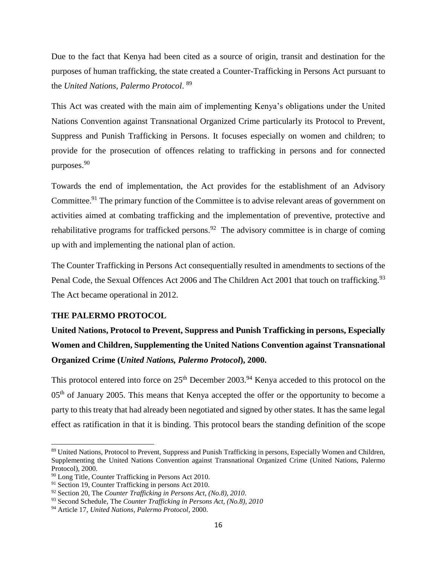Due to the fact that Kenya had been cited as a source of origin, transit and destination for the purposes of human trafficking, the state created a Counter-Trafficking in Persons Act pursuant to the *United Nations, Palermo Protocol*. 89

This Act was created with the main aim of implementing Kenya's obligations under the United Nations Convention against Transnational Organized Crime particularly its Protocol to Prevent, Suppress and Punish Trafficking in Persons. It focuses especially on women and children; to provide for the prosecution of offences relating to trafficking in persons and for connected purposes.<sup>90</sup>

Towards the end of implementation, the Act provides for the establishment of an Advisory Committee.<sup>91</sup> The primary function of the Committee is to advise relevant areas of government on activities aimed at combating trafficking and the implementation of preventive, protective and rehabilitative programs for trafficked persons.<sup>92</sup> The advisory committee is in charge of coming up with and implementing the national plan of action.

The Counter Trafficking in Persons Act consequentially resulted in amendments to sections of the Penal Code, the Sexual Offences Act 2006 and The Children Act 2001 that touch on trafficking.<sup>93</sup> The Act became operational in 2012.

## <span id="page-23-0"></span>**THE PALERMO PROTOCOL**

 $\overline{a}$ 

**United Nations, Protocol to Prevent, Suppress and Punish Trafficking in persons, Especially Women and Children, Supplementing the United Nations Convention against Transnational Organized Crime (***United Nations, Palermo Protocol***), 2000.**

This protocol entered into force on  $25<sup>th</sup>$  December 2003.<sup>94</sup> Kenya acceded to this protocol on the 05<sup>th</sup> of January 2005. This means that Kenya accepted the offer or the opportunity to become a party to this treaty that had already been negotiated and signed by other states. It has the same legal effect as ratification in that it is binding. This protocol bears the standing definition of the scope

<sup>89</sup> United Nations, Protocol to Prevent, Suppress and Punish Trafficking in persons, Especially Women and Children, Supplementing the United Nations Convention against Transnational Organized Crime (United Nations, Palermo Protocol), 2000.

<sup>90</sup> Long Title, Counter Trafficking in Persons Act 2010.

<sup>&</sup>lt;sup>91</sup> Section 19, Counter Trafficking in persons Act 2010.

<sup>92</sup> Section 20, The *Counter Trafficking in Persons Act, (No.8), 2010*.

<sup>93</sup> Second Schedule, The *Counter Trafficking in Persons Act, (No.8), 2010*

<sup>94</sup> Article 17, *United Nations, Palermo Protocol*, 2000.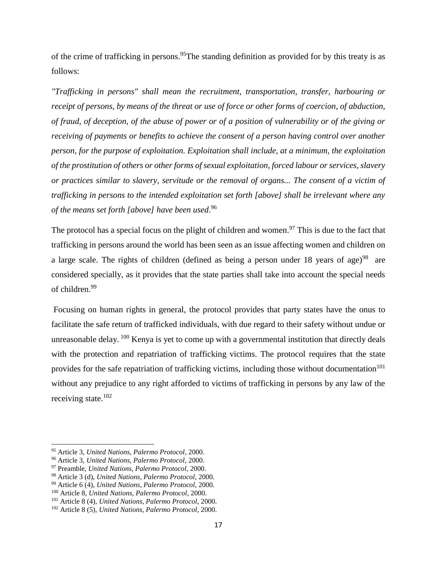of the crime of trafficking in persons. <sup>95</sup>The standing definition as provided for by this treaty is as follows:

*"Trafficking in persons" shall mean the recruitment, transportation, transfer, harbouring or receipt of persons, by means of the threat or use of force or other forms of coercion, of abduction, of fraud, of deception, of the abuse of power or of a position of vulnerability or of the giving or receiving of payments or benefits to achieve the consent of a person having control over another person, for the purpose of exploitation. Exploitation shall include, at a minimum, the exploitation of the prostitution of others or other forms of sexual exploitation, forced labour or services, slavery or practices similar to slavery, servitude or the removal of organs... The consent of a victim of trafficking in persons to the intended exploitation set forth [above] shall be irrelevant where any of the means set forth [above] have been used*. 96

The protocol has a special focus on the plight of children and women.<sup>97</sup> This is due to the fact that trafficking in persons around the world has been seen as an issue affecting women and children on a large scale. The rights of children (defined as being a person under 18 years of age)<sup>98</sup> are considered specially, as it provides that the state parties shall take into account the special needs of children.<sup>99</sup>

Focusing on human rights in general, the protocol provides that party states have the onus to facilitate the safe return of trafficked individuals, with due regard to their safety without undue or unreasonable delay. <sup>100</sup> Kenya is yet to come up with a governmental institution that directly deals with the protection and repatriation of trafficking victims. The protocol requires that the state provides for the safe repatriation of trafficking victims, including those without documentation<sup>101</sup> without any prejudice to any right afforded to victims of trafficking in persons by any law of the receiving state. $102$ 

 $\overline{a}$ 

<sup>95</sup> Article 3, *United Nations, Palermo Protocol*, 2000.

<sup>96</sup> Article 3, *United Nations, Palermo Protocol*, 2000.

<sup>97</sup> Preamble, *United Nations, Palermo Protocol*, 2000.

<sup>98</sup> Article 3 (d), *United Nations, Palermo Protocol*, 2000.

<sup>99</sup> Article 6 (4), *United Nations, Palermo Protocol*, 2000.

<sup>100</sup> Article 8, *United Nations, Palermo Protocol*, 2000.

<sup>101</sup> Article 8 (4), *United Nations, Palermo Protocol*, 2000.

<sup>102</sup> Article 8 (5), *United Nations, Palermo Protocol*, 2000.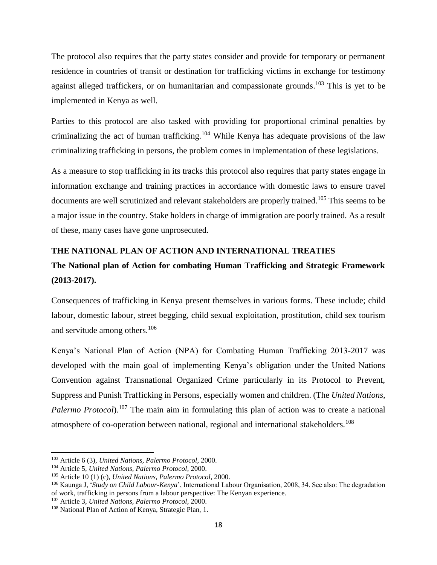The protocol also requires that the party states consider and provide for temporary or permanent residence in countries of transit or destination for trafficking victims in exchange for testimony against alleged traffickers, or on humanitarian and compassionate grounds.<sup>103</sup> This is yet to be implemented in Kenya as well.

Parties to this protocol are also tasked with providing for proportional criminal penalties by criminalizing the act of human trafficking.<sup>104</sup> While Kenya has adequate provisions of the law criminalizing trafficking in persons, the problem comes in implementation of these legislations.

As a measure to stop trafficking in its tracks this protocol also requires that party states engage in information exchange and training practices in accordance with domestic laws to ensure travel documents are well scrutinized and relevant stakeholders are properly trained.<sup>105</sup> This seems to be a major issue in the country. Stake holders in charge of immigration are poorly trained. As a result of these, many cases have gone unprosecuted.

## <span id="page-25-0"></span>**THE NATIONAL PLAN OF ACTION AND INTERNATIONAL TREATIES**

## **The National plan of Action for combating Human Trafficking and Strategic Framework (2013-2017).**

Consequences of trafficking in Kenya present themselves in various forms. These include; child labour, domestic labour, street begging, child sexual exploitation, prostitution, child sex tourism and servitude among others.<sup>106</sup>

Kenya's National Plan of Action (NPA) for Combating Human Trafficking 2013-2017 was developed with the main goal of implementing Kenya's obligation under the United Nations Convention against Transnational Organized Crime particularly in its Protocol to Prevent, Suppress and Punish Trafficking in Persons, especially women and children. (The *United Nations, Palermo Protocol*).<sup>107</sup> The main aim in formulating this plan of action was to create a national atmosphere of co-operation between national, regional and international stakeholders.<sup>108</sup>

<sup>103</sup> Article 6 (3), *United Nations, Palermo Protocol*, 2000.

<sup>104</sup> Article 5, *United Nations, Palermo Protocol*, 2000.

<sup>105</sup> Article 10 (1) (c), *United Nations, Palermo Protocol*, 2000.

<sup>106</sup> Kaunga J, '*Study on Child Labour-Kenya*', International Labour Organisation, 2008, 34. See also: The degradation of work, trafficking in persons from a labour perspective: The Kenyan experience.

<sup>107</sup> Article 3, *United Nations, Palermo Protocol*, 2000.

<sup>108</sup> National Plan of Action of Kenya, Strategic Plan, 1.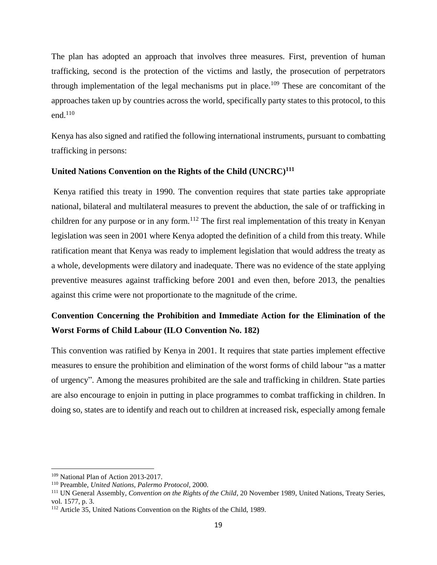The plan has adopted an approach that involves three measures. First, prevention of human trafficking, second is the protection of the victims and lastly, the prosecution of perpetrators through implementation of the legal mechanisms put in place.<sup>109</sup> These are concomitant of the approaches taken up by countries across the world, specifically party states to this protocol, to this end. 110

Kenya has also signed and ratified the following international instruments, pursuant to combatting trafficking in persons:

#### **United Nations Convention on the Rights of the Child (UNCRC)<sup>111</sup>**

Kenya ratified this treaty in 1990. The convention requires that state parties take appropriate national, bilateral and multilateral measures to prevent the abduction, the sale of or trafficking in children for any purpose or in any form.<sup>112</sup> The first real implementation of this treaty in Kenyan legislation was seen in 2001 where Kenya adopted the definition of a child from this treaty. While ratification meant that Kenya was ready to implement legislation that would address the treaty as a whole, developments were dilatory and inadequate. There was no evidence of the state applying preventive measures against trafficking before 2001 and even then, before 2013, the penalties against this crime were not proportionate to the magnitude of the crime.

## **Convention Concerning the Prohibition and Immediate Action for the Elimination of the Worst Forms of Child Labour (ILO Convention No. 182)**

This convention was ratified by Kenya in 2001. It requires that state parties implement effective measures to ensure the prohibition and elimination of the worst forms of child labour "as a matter of urgency". Among the measures prohibited are the sale and trafficking in children. State parties are also encourage to enjoin in putting in place programmes to combat trafficking in children. In doing so, states are to identify and reach out to children at increased risk, especially among female

 $\overline{a}$ 

<sup>109</sup> National Plan of Action 2013-2017.

<sup>110</sup> Preamble, *United Nations, Palermo Protocol*, 2000.

<sup>111</sup> UN General Assembly, *Convention on the Rights of the Child*, 20 November 1989, United Nations, Treaty Series, vol. 1577, p. 3.

<sup>112</sup> Article 35, United Nations Convention on the Rights of the Child, 1989.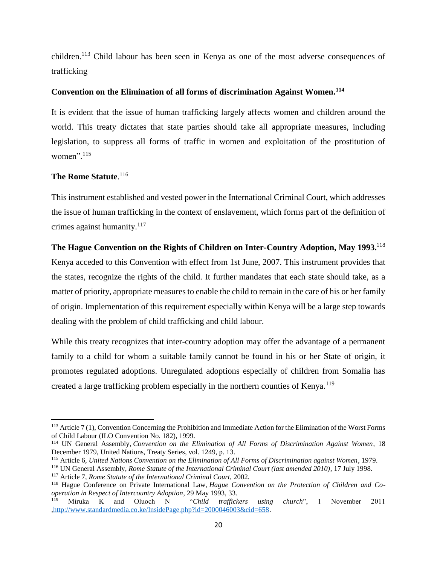children.<sup>113</sup> Child labour has been seen in Kenya as one of the most adverse consequences of trafficking

## **Convention on the Elimination of all forms of discrimination Against Women. 114**

It is evident that the issue of human trafficking largely affects women and children around the world. This treaty dictates that state parties should take all appropriate measures, including legislation, to suppress all forms of traffic in women and exploitation of the prostitution of women". $115$ 

## **The Rome Statute**. 116

This instrument established and vested power in the International Criminal Court, which addresses the issue of human trafficking in the context of enslavement, which forms part of the definition of crimes against humanity. $117$ 

## **The Hague Convention on the Rights of Children on Inter-Country Adoption, May 1993.**<sup>118</sup>

Kenya acceded to this Convention with effect from 1st June, 2007. This instrument provides that the states, recognize the rights of the child. It further mandates that each state should take, as a matter of priority, appropriate measures to enable the child to remain in the care of his or her family of origin. Implementation of this requirement especially within Kenya will be a large step towards dealing with the problem of child trafficking and child labour.

While this treaty recognizes that inter-country adoption may offer the advantage of a permanent family to a child for whom a suitable family cannot be found in his or her State of origin, it promotes regulated adoptions. Unregulated adoptions especially of children from Somalia has created a large trafficking problem especially in the northern counties of Kenya.<sup>119</sup>

 $\overline{a}$ <sup>113</sup> Article 7 (1), Convention Concerning the Prohibition and Immediate Action for the Elimination of the Worst Forms of Child Labour (ILO Convention No. 182), 1999.

<sup>114</sup> UN General Assembly, *Convention on the Elimination of All Forms of Discrimination Against Women*, 18 December 1979, United Nations, Treaty Series, vol. 1249, p. 13.

<sup>115</sup> Article 6, *United Nations Convention on the Elimination of All Forms of Discrimination against Women*, 1979.

<sup>116</sup> UN General Assembly, *Rome Statute of the International Criminal Court (last amended 2010)*, 17 July 1998.

<sup>117</sup> Article 7, *Rome Statute of the International Criminal Court*, 2002.

<sup>118</sup> Hague Conference on Private International Law, *Hague Convention on the Protection of Children and Cooperation in Respect of Intercountry Adoption*, 29 May 1993, 33.

<sup>119</sup> Miruka K and Oluoch N "*Child traffickers using church*", 1 November 2011 [,http://www.standardmedia.co.ke/InsidePage.php?id=2000046003&cid=658.](http://www.standardmedia.co.ke/InsidePage.php?id=2000046003&cid=658)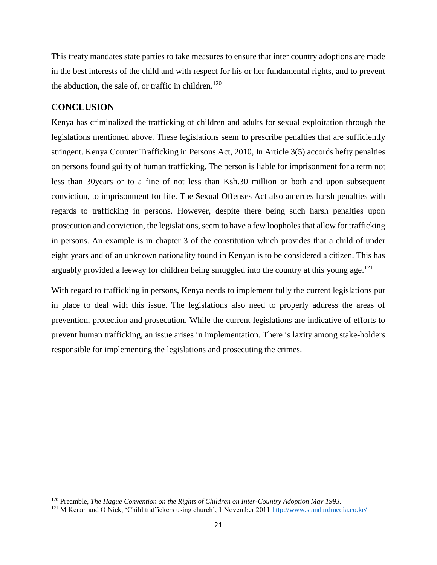This treaty mandates state parties to take measures to ensure that inter country adoptions are made in the best interests of the child and with respect for his or her fundamental rights, and to prevent the abduction, the sale of, or traffic in children.<sup>120</sup>

## <span id="page-28-0"></span>**CONCLUSION**

 $\overline{\phantom{a}}$ 

Kenya has criminalized the trafficking of children and adults for sexual exploitation through the legislations mentioned above. These legislations seem to prescribe penalties that are sufficiently stringent. Kenya Counter Trafficking in Persons Act, 2010, In Article 3(5) accords hefty penalties on persons found guilty of human trafficking. The person is liable for imprisonment for a term not less than 30years or to a fine of not less than Ksh.30 million or both and upon subsequent conviction, to imprisonment for life. The Sexual Offenses Act also amerces harsh penalties with regards to trafficking in persons. However, despite there being such harsh penalties upon prosecution and conviction, the legislations, seem to have a few loopholes that allow for trafficking in persons. An example is in chapter 3 of the constitution which provides that a child of under eight years and of an unknown nationality found in Kenyan is to be considered a citizen. This has arguably provided a leeway for children being smuggled into the country at this young age.<sup>121</sup>

With regard to trafficking in persons, Kenya needs to implement fully the current legislations put in place to deal with this issue. The legislations also need to properly address the areas of prevention, protection and prosecution. While the current legislations are indicative of efforts to prevent human trafficking, an issue arises in implementation. There is laxity among stake-holders responsible for implementing the legislations and prosecuting the crimes.

<sup>120</sup> Preamble, *The Hague Convention on the Rights of Children on Inter-Country Adoption May 1993.*

<sup>&</sup>lt;sup>121</sup> M Kenan and O Nick, 'Child traffickers using church', 1 November 2011<http://www.standardmedia.co.ke/>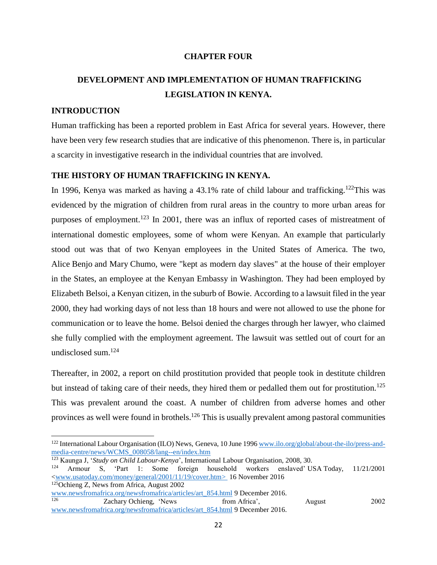## **CHAPTER FOUR**

## <span id="page-29-1"></span><span id="page-29-0"></span>**DEVELOPMENT AND IMPLEMENTATION OF HUMAN TRAFFICKING LEGISLATION IN KENYA.**

## <span id="page-29-2"></span>**INTRODUCTION**

Human trafficking has been a reported problem in East Africa for several years. However, there have been very few research studies that are indicative of this phenomenon. There is, in particular a scarcity in investigative research in the individual countries that are involved.

#### <span id="page-29-3"></span>**THE HISTORY OF HUMAN TRAFFICKING IN KENYA.**

In 1996, Kenya was marked as having a 43.1% rate of child labour and trafficking.<sup>122</sup>This was evidenced by the migration of children from rural areas in the country to more urban areas for purposes of employment.<sup>123</sup> In 2001, there was an influx of reported cases of mistreatment of international domestic employees, some of whom were Kenyan. An example that particularly stood out was that of two Kenyan employees in the United States of America. The two, Alice Benjo and Mary Chumo, were "kept as modern day slaves" at the house of their employer in the States, an employee at the Kenyan Embassy in Washington. They had been employed by Elizabeth Belsoi, a Kenyan citizen, in the suburb of Bowie. According to a lawsuit filed in the year 2000, they had working days of not less than 18 hours and were not allowed to use the phone for communication or to leave the home. Belsoi denied the charges through her lawyer, who claimed she fully complied with the employment agreement. The lawsuit was settled out of court for an undisclosed sum.<sup>124</sup>

Thereafter, in 2002, a report on child prostitution provided that people took in destitute children but instead of taking care of their needs, they hired them or pedalled them out for prostitution.<sup>125</sup> This was prevalent around the coast. A number of children from adverse homes and other provinces as well were found in brothels.<sup>126</sup> This is usually prevalent among pastoral communities

<sup>123</sup> Kaunga J, '*Study on Child Labour-Kenya*', International Labour Organisation, 2008, 30.<br><sup>124</sup> Armour S, 'Part 1: Some foreign household workers enslayed' U <sup>124</sup> Armour S, 'Part 1: Some foreign household workers enslaved' USA Today, 11/21/2001 [<www.usatoday.com/money/general/2001/11/19/cover.htm>](http://www.usatoday.com/money/general/2001/11/19/cover.htm) 16 November 2016

<sup>125</sup>Ochieng Z, News from Africa, August 2002

<sup>&</sup>lt;sup>122</sup> International Labour Organisation (ILO) News, Geneva, 10 June 1996 [www.ilo.org/global/about-the-ilo/press-and](http://www.ilo.org/global/about-the-ilo/press-and-media-centre/news/WCMS_008058/lang--en/index.htm)[media-centre/news/WCMS\\_008058/lang--en/index.htm](http://www.ilo.org/global/about-the-ilo/press-and-media-centre/news/WCMS_008058/lang--en/index.htm)

[www.newsfromafrica.org/newsfromafrica/articles/art\\_854.html](http://www.newsfromafrica.org/newsfromafrica/articles/art_854.html) 9 December 2016. <sup>126</sup> Zachary Ochieng, 'News from Africa', August 2002 [www.newsfromafrica.org/newsfromafrica/articles/art\\_854.html](http://www.newsfromafrica.org/newsfromafrica/articles/art_854.html) 9 December 2016.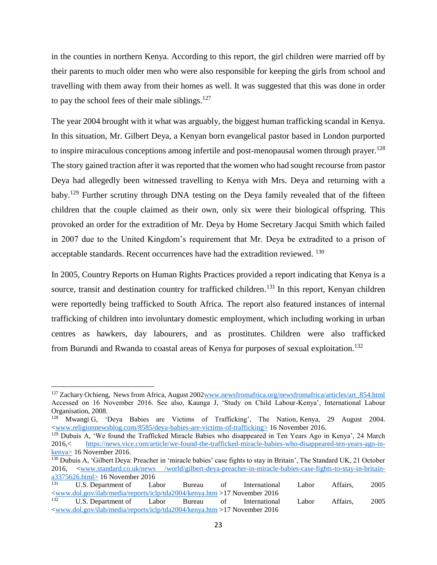in the counties in northern Kenya. According to this report, the girl children were married off by their parents to much older men who were also responsible for keeping the girls from school and travelling with them away from their homes as well. It was suggested that this was done in order to pay the school fees of their male siblings. $127$ 

The year 2004 brought with it what was arguably, the biggest human trafficking scandal in Kenya. In this situation, Mr. Gilbert Deya, a Kenyan born evangelical pastor based in London purported to inspire miraculous conceptions among infertile and post-menopausal women through prayer.<sup>128</sup> The story gained traction after it was reported that the women who had sought recourse from pastor Deya had allegedly been witnessed travelling to Kenya with Mrs. Deya and returning with a baby.<sup>129</sup> Further scrutiny through DNA testing on the Deya family revealed that of the fifteen children that the couple claimed as their own, only six were their biological offspring. This provoked an order for the extradition of Mr. Deya by Home Secretary Jacqui Smith which failed in 2007 due to the United Kingdom's requirement that Mr. Deya be extradited to a prison of acceptable standards. Recent occurrences have had the extradition reviewed. <sup>130</sup>

In 2005, Country Reports on Human Rights Practices provided a report indicating that Kenya is a source, transit and destination country for trafficked children.<sup>131</sup> In this report, Kenyan children were reportedly being trafficked to South Africa. The report also featured instances of internal trafficking of children into involuntary domestic employment, which including working in urban centres as hawkers, day labourers, and as prostitutes. Children were also trafficked from Burundi and Rwanda to coastal areas of Kenya for purposes of sexual exploitation.<sup>132</sup>

l

<sup>&</sup>lt;sup>127</sup> Zachary Ochieng, News from Africa, August 2002www.newsfromafrica.org/newsfromafrica/articles/art 854.html Accessed on 16 November 2016. See also, Kaunga J, 'Study on Child Labour-Kenya', International Labour Organisation, 2008.

<sup>&</sup>lt;sup>128</sup> Mwangi G, 'Deya Babies are Victims of Trafficking', The Nation, Kenya, 29 August 2004. [<www.religionnewsblog.com/8585/deya-babies-are-victims-of-trafficking>](http://www.religionnewsblog.com/8585/deya-babies-are-victims-of-trafficking) 16 November 2016.

<sup>&</sup>lt;sup>129</sup> Dubuis A, 'We found the Trafficked Miracle Babies who disappeared in Ten Years Ago in Kenya', 24 March 2016,< [https://news.vice.com/article/we-found-the-trafficked-miracle-babies-who-disappeared-ten-years-ago-in](https://news.vice.com/article/we-found-the-trafficked-miracle-babies-who-disappeared-ten-years-ago-in-kenya)[kenya>](https://news.vice.com/article/we-found-the-trafficked-miracle-babies-who-disappeared-ten-years-ago-in-kenya) 16 November 2016.

<sup>&</sup>lt;sup>130</sup> Dubuis A, 'Gilbert Deya: Preacher in 'miracle babies' case fights to stay in Britain', The Standard UK, 21 October 2016, [<www.standard.co.uk/news /world/gilbert-deya-preacher-in-miracle-babies-case-fights-to-stay-in-britain-](http://www.standard.co.uk/news%20/world/gilbert-deya-preacher-in-miracle-babies-case-fights-to-stay-in-britain-a3375626.html) $\frac{a3375626.html}{131}$  16 November 2016

<sup>131</sup> U.S. Department of Labor Bureau of International Labor Affairs, 2005  $\frac{\text{www.dol.gov/ilab/media/reports/iclp/tda2004/kenya.htm}}{132} > 17 \text{ November } 2016$ <sup>132</sup> U.S. Department of Labor Bureau of International Labor Affairs, 2005 [<www.dol.gov/ilab/media/reports/iclp/tda2004/kenya.htm](http://www.dol.gov/ilab/media/reports/iclp/tda2004/kenya.htm) >17 November 2016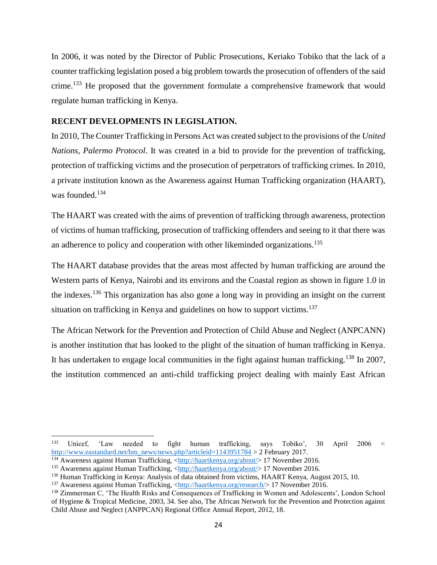In 2006, it was noted by the Director of Public Prosecutions, Keriako Tobiko that the lack of a counter trafficking legislation posed a big problem towards the prosecution of offenders of the said crime.<sup>133</sup> He proposed that the government formulate a comprehensive framework that would regulate human trafficking in Kenya.

#### <span id="page-31-0"></span>**RECENT DEVELOPMENTS IN LEGISLATION.**

In 2010, The Counter Trafficking in Persons Act was created subject to the provisions of the *United Nations, Palermo Protocol*. It was created in a bid to provide for the prevention of trafficking, protection of trafficking victims and the prosecution of perpetrators of trafficking crimes. In 2010, a private institution known as the Awareness against Human Trafficking organization (HAART), was founded. 134

The HAART was created with the aims of prevention of trafficking through awareness, protection of victims of human trafficking, prosecution of trafficking offenders and seeing to it that there was an adherence to policy and cooperation with other likeminded organizations.<sup>135</sup>

The HAART database provides that the areas most affected by human trafficking are around the Western parts of Kenya, Nairobi and its environs and the Coastal region as shown in figure 1.0 in the indexes.<sup>136</sup> This organization has also gone a long way in providing an insight on the current situation on trafficking in Kenya and guidelines on how to support victims.<sup>137</sup>

The African Network for the Prevention and Protection of Child Abuse and Neglect (ANPCANN) is another institution that has looked to the plight of the situation of human trafficking in Kenya. It has undertaken to engage local communities in the fight against human trafficking.<sup>138</sup> In 2007, the institution commenced an anti-child trafficking project dealing with mainly East African

<sup>133</sup> <sup>133</sup> Unicef, 'Law needed to fight human trafficking, says Tobiko', 30 April 2006 < [http://www.eastandard.net/hm\\_news/news.php?articleid=1143951784](http://www.eastandard.net/hm_news/news.php?articleid=1143951784) > 2 February 2017.

<sup>&</sup>lt;sup>134</sup> Awareness against Human Trafficking, [<http://haartkenya.org/about/>](http://haartkenya.org/about/) 17 November 2016.

<sup>&</sup>lt;sup>135</sup> Awareness against Human Trafficking, [<http://haartkenya.org/about/>](http://haartkenya.org/about/) 17 November 2016.

<sup>136</sup> Human Trafficking in Kenya: Analysis of data obtained from victims, HAART Kenya, August 2015, 10.

<sup>&</sup>lt;sup>137</sup> Awareness against Human Trafficking, [<http://haartkenya.org/research/>](http://haartkenya.org/research/) 17 November 2016.

<sup>138</sup> Zimmerman C, 'The Health Risks and Consequences of Trafficking in Women and Adolescents', London School of Hygiene & Tropical Medicine, 2003, 34. See also, The African Network for the Prevention and Protection against Child Abuse and Neglect (ANPPCAN) Regional Office Annual Report, 2012, 18.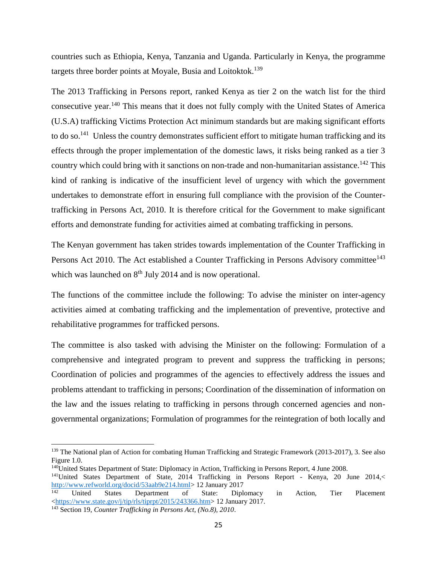countries such as Ethiopia, Kenya, Tanzania and Uganda. Particularly in Kenya, the programme targets three border points at Moyale, Busia and Loitoktok.<sup>139</sup>

The 2013 Trafficking in Persons report, ranked Kenya as tier 2 on the watch list for the third consecutive year.<sup>140</sup> This means that it does not fully comply with the United States of America (U.S.A) trafficking Victims Protection Act minimum standards but are making significant efforts to do so.<sup>141</sup> Unless the country demonstrates sufficient effort to mitigate human trafficking and its effects through the proper implementation of the domestic laws, it risks being ranked as a tier 3 country which could bring with it sanctions on non-trade and non-humanitarian assistance.<sup>142</sup> This kind of ranking is indicative of the insufficient level of urgency with which the government undertakes to demonstrate effort in ensuring full compliance with the provision of the Countertrafficking in Persons Act, 2010. It is therefore critical for the Government to make significant efforts and demonstrate funding for activities aimed at combating trafficking in persons.

The Kenyan government has taken strides towards implementation of the Counter Trafficking in Persons Act 2010. The Act established a Counter Trafficking in Persons Advisory committee<sup>143</sup> which was launched on  $8<sup>th</sup>$  July 2014 and is now operational.

The functions of the committee include the following: To advise the minister on inter-agency activities aimed at combating trafficking and the implementation of preventive, protective and rehabilitative programmes for trafficked persons.

The committee is also tasked with advising the Minister on the following: Formulation of a comprehensive and integrated program to prevent and suppress the trafficking in persons; Coordination of policies and programmes of the agencies to effectively address the issues and problems attendant to trafficking in persons; Coordination of the dissemination of information on the law and the issues relating to trafficking in persons through concerned agencies and nongovernmental organizations; Formulation of programmes for the reintegration of both locally and

 $\overline{a}$ 

<sup>&</sup>lt;sup>139</sup> The National plan of Action for combating Human Trafficking and Strategic Framework (2013-2017), 3. See also Figure 1.0.

<sup>140</sup>United States Department of State: Diplomacy in Action, Trafficking in Persons Report, 4 June 2008.

<sup>141</sup>United States Department of State, 2014 Trafficking in Persons Report - Kenya, 20 June 2014,< [http://www.refworld.org/docid/53aab9e214.html>](http://www.refworld.org/docid/53aab9e214.html) 12 January 2017<br><sup>142</sup> United States Department of State: Diplo

<sup>142</sup> United States Department of State: Diplomacy in Action, Tier Placement [<https://www.state.gov/j/tip/rls/tiprpt/2015/243366.htm>](https://www.state.gov/j/tip/rls/tiprpt/2015/243366.htm) 12 January 2017.

<sup>143</sup> Section 19, *Counter Trafficking in Persons Act, (No.8), 2010*.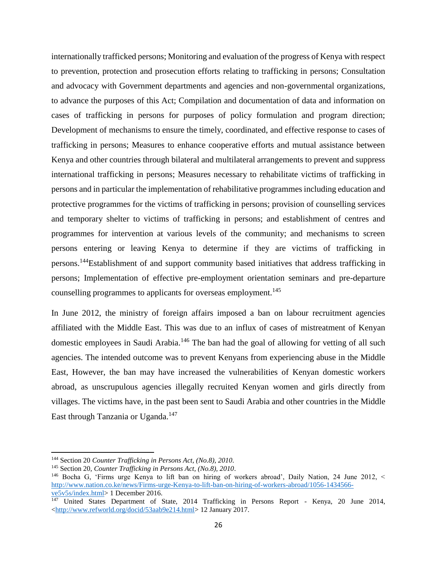internationally trafficked persons; Monitoring and evaluation of the progress of Kenya with respect to prevention, protection and prosecution efforts relating to trafficking in persons; Consultation and advocacy with Government departments and agencies and non-governmental organizations, to advance the purposes of this Act; Compilation and documentation of data and information on cases of trafficking in persons for purposes of policy formulation and program direction; Development of mechanisms to ensure the timely, coordinated, and effective response to cases of trafficking in persons; Measures to enhance cooperative efforts and mutual assistance between Kenya and other countries through bilateral and multilateral arrangements to prevent and suppress international trafficking in persons; Measures necessary to rehabilitate victims of trafficking in persons and in particular the implementation of rehabilitative programmes including education and protective programmes for the victims of trafficking in persons; provision of counselling services and temporary shelter to victims of trafficking in persons; and establishment of centres and programmes for intervention at various levels of the community; and mechanisms to screen persons entering or leaving Kenya to determine if they are victims of trafficking in persons.<sup>144</sup>Establishment of and support community based initiatives that address trafficking in persons; Implementation of effective pre-employment orientation seminars and pre-departure counselling programmes to applicants for overseas employment.<sup>145</sup>

In June 2012, the ministry of foreign affairs imposed a ban on labour recruitment agencies affiliated with the Middle East. This was due to an influx of cases of mistreatment of Kenyan domestic employees in Saudi Arabia.<sup>146</sup> The ban had the goal of allowing for vetting of all such agencies. The intended outcome was to prevent Kenyans from experiencing abuse in the Middle East, However, the ban may have increased the vulnerabilities of Kenyan domestic workers abroad, as unscrupulous agencies illegally recruited Kenyan women and girls directly from villages. The victims have, in the past been sent to Saudi Arabia and other countries in the Middle East through Tanzania or Uganda.<sup>147</sup>

<sup>144</sup> Section 20 *Counter Trafficking in Persons Act, (No.8), 2010*.

<sup>145</sup> Section 20, *Counter Trafficking in Persons Act, (No.8), 2010*.

<sup>146</sup> Bocha G, 'Firms urge Kenya to lift ban on hiring of workers abroad', Daily Nation, 24 June 2012, < [http://www.nation.co.ke/news/Firms-urge-Kenya-to-lift-ban-on-hiring-of-workers-abroad/1056-1434566](http://www.nation.co.ke/news/Firms-urge-Kenya-to-lift-ban-on-hiring-of-workers-abroad/1056-1434566-ve5v5s/index.html) [ve5v5s/index.html>](http://www.nation.co.ke/news/Firms-urge-Kenya-to-lift-ban-on-hiring-of-workers-abroad/1056-1434566-ve5v5s/index.html) 1 December 2016.

<sup>&</sup>lt;sup>147</sup> United States Department of State, 2014 Trafficking in Persons Report - Kenya, 20 June 2014, [<http://www.refworld.org/docid/53aab9e214.html>](http://www.refworld.org/docid/53aab9e214.html) 12 January 2017.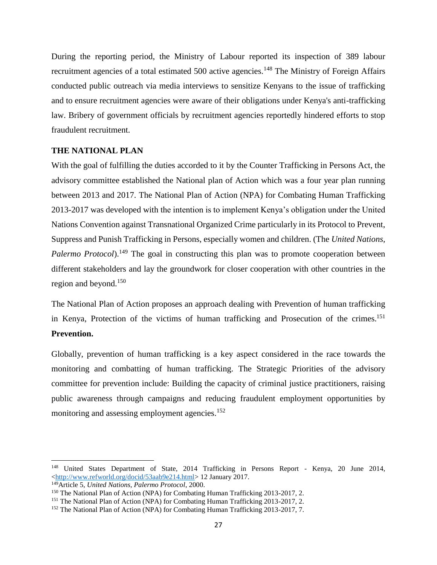During the reporting period, the Ministry of Labour reported its inspection of 389 labour recruitment agencies of a total estimated 500 active agencies.<sup>148</sup> The Ministry of Foreign Affairs conducted public outreach via media interviews to sensitize Kenyans to the issue of trafficking and to ensure recruitment agencies were aware of their obligations under Kenya's anti-trafficking law. Bribery of government officials by recruitment agencies reportedly hindered efforts to stop fraudulent recruitment.

## <span id="page-34-0"></span>**THE NATIONAL PLAN**

With the goal of fulfilling the duties accorded to it by the Counter Trafficking in Persons Act, the advisory committee established the National plan of Action which was a four year plan running between 2013 and 2017. The National Plan of Action (NPA) for Combating Human Trafficking 2013-2017 was developed with the intention is to implement Kenya's obligation under the United Nations Convention against Transnational Organized Crime particularly in its Protocol to Prevent, Suppress and Punish Trafficking in Persons, especially women and children. (The *United Nations, Palermo Protocol*).<sup>149</sup> The goal in constructing this plan was to promote cooperation between different stakeholders and lay the groundwork for closer cooperation with other countries in the region and beyond.<sup>150</sup>

The National Plan of Action proposes an approach dealing with Prevention of human trafficking in Kenya, Protection of the victims of human trafficking and Prosecution of the crimes. 151 **Prevention.**

Globally, prevention of human trafficking is a key aspect considered in the race towards the monitoring and combatting of human trafficking. The Strategic Priorities of the advisory committee for prevention include: Building the capacity of criminal justice practitioners, raising public awareness through campaigns and reducing fraudulent employment opportunities by monitoring and assessing employment agencies.<sup>152</sup>

l

<sup>148</sup> United States Department of State, 2014 Trafficking in Persons Report - Kenya, 20 June 2014, [<http://www.refworld.org/docid/53aab9e214.html>](http://www.refworld.org/docid/53aab9e214.html) 12 January 2017.

<sup>149</sup>Article 5, *United Nations, Palermo Protocol*, 2000.

<sup>150</sup> The National Plan of Action (NPA) for Combating Human Trafficking 2013-2017, 2.

<sup>151</sup> The National Plan of Action (NPA) for Combating Human Trafficking 2013-2017, 2.

<sup>&</sup>lt;sup>152</sup> The National Plan of Action (NPA) for Combating Human Trafficking 2013-2017, 7.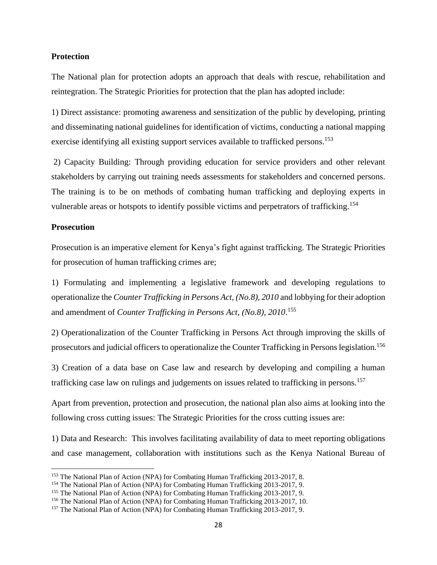#### **Protection**

The National plan for protection adopts an approach that deals with rescue, rehabilitation and reintegration. The Strategic Priorities for protection that the plan has adopted include:

1) Direct assistance: promoting awareness and sensitization of the public by developing, printing and disseminating national guidelines for identification of victims, conducting a national mapping exercise identifying all existing support services available to trafficked persons.<sup>153</sup>

2) Capacity Building: Through providing education for service providers and other relevant stakeholders by carrying out training needs assessments for stakeholders and concerned persons. The training is to be on methods of combating human trafficking and deploying experts in vulnerable areas or hotspots to identify possible victims and perpetrators of trafficking.<sup>154</sup>

#### **Prosecution**

 $\overline{a}$ 

Prosecution is an imperative element for Kenya's fight against trafficking. The Strategic Priorities for prosecution of human trafficking crimes are;

1) Formulating and implementing a legislative framework and developing regulations to operationalize the *Counter Trafficking in Persons Act, (No.8), 2010* and lobbying for their adoption and amendment of *Counter Trafficking in Persons Act, (No.8), 2010*. 155

2) Operationalization of the Counter Trafficking in Persons Act through improving the skills of prosecutors and judicial officers to operationalize the Counter Trafficking in Persons legislation.<sup>156</sup>

3) Creation of a data base on Case law and research by developing and compiling a human trafficking case law on rulings and judgements on issues related to trafficking in persons.<sup>157</sup>

Apart from prevention, protection and prosecution, the national plan also aims at looking into the following cross cutting issues: The Strategic Priorities for the cross cutting issues are:

1) Data and Research: This involves facilitating availability of data to meet reporting obligations and case management, collaboration with institutions such as the Kenya National Bureau of

<sup>153</sup> The National Plan of Action (NPA) for Combating Human Trafficking 2013-2017, 8.

<sup>&</sup>lt;sup>154</sup> The National Plan of Action (NPA) for Combating Human Trafficking 2013-2017, 9.

<sup>155</sup> The National Plan of Action (NPA) for Combating Human Trafficking 2013-2017, 9.

<sup>156</sup> The National Plan of Action (NPA) for Combating Human Trafficking 2013-2017, 10.

<sup>157</sup> The National Plan of Action (NPA) for Combating Human Trafficking 2013-2017, 9.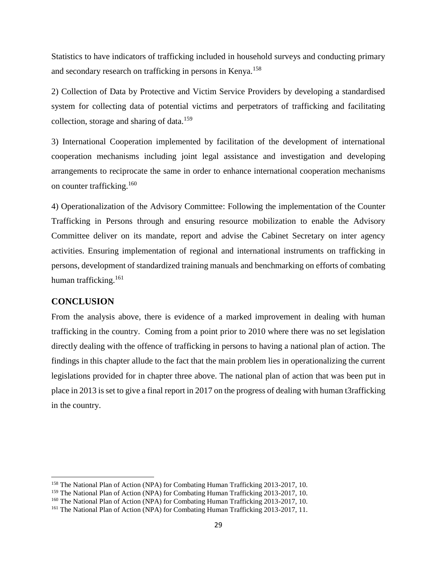Statistics to have indicators of trafficking included in household surveys and conducting primary and secondary research on trafficking in persons in Kenya.<sup>158</sup>

2) Collection of Data by Protective and Victim Service Providers by developing a standardised system for collecting data of potential victims and perpetrators of trafficking and facilitating collection, storage and sharing of data.<sup>159</sup>

3) International Cooperation implemented by facilitation of the development of international cooperation mechanisms including joint legal assistance and investigation and developing arrangements to reciprocate the same in order to enhance international cooperation mechanisms on counter trafficking.<sup>160</sup>

4) Operationalization of the Advisory Committee: Following the implementation of the Counter Trafficking in Persons through and ensuring resource mobilization to enable the Advisory Committee deliver on its mandate, report and advise the Cabinet Secretary on inter agency activities. Ensuring implementation of regional and international instruments on trafficking in persons, development of standardized training manuals and benchmarking on efforts of combating human trafficking.<sup>161</sup>

## <span id="page-36-0"></span>**CONCLUSION**

 $\overline{\phantom{a}}$ 

From the analysis above, there is evidence of a marked improvement in dealing with human trafficking in the country. Coming from a point prior to 2010 where there was no set legislation directly dealing with the offence of trafficking in persons to having a national plan of action. The findings in this chapter allude to the fact that the main problem lies in operationalizing the current legislations provided for in chapter three above. The national plan of action that was been put in place in 2013 is set to give a final report in 2017 on the progress of dealing with human t3rafficking in the country.

<sup>&</sup>lt;sup>158</sup> The National Plan of Action (NPA) for Combating Human Trafficking 2013-2017, 10.

<sup>159</sup> The National Plan of Action (NPA) for Combating Human Trafficking 2013-2017, 10.

<sup>160</sup> The National Plan of Action (NPA) for Combating Human Trafficking 2013-2017, 10.

<sup>161</sup> The National Plan of Action (NPA) for Combating Human Trafficking 2013-2017, 11.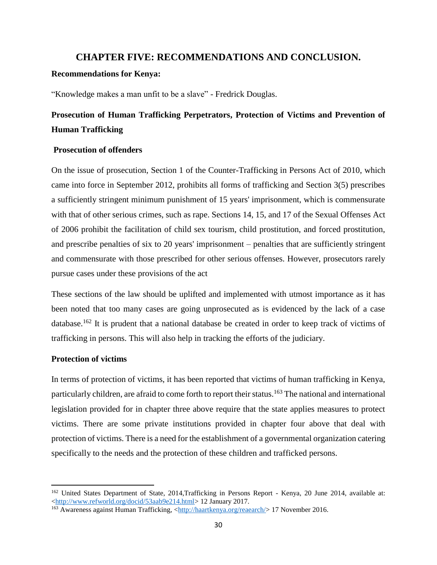## **CHAPTER FIVE: RECOMMENDATIONS AND CONCLUSION.**

#### <span id="page-37-0"></span>**Recommendations for Kenya:**

"Knowledge makes a man unfit to be a slave" - Fredrick Douglas.

## **Prosecution of Human Trafficking Perpetrators, Protection of Victims and Prevention of Human Trafficking**

#### **Prosecution of offenders**

On the issue of prosecution, Section 1 of the Counter-Trafficking in Persons Act of 2010, which came into force in September 2012, prohibits all forms of trafficking and Section 3(5) prescribes a sufficiently stringent minimum punishment of 15 years' imprisonment, which is commensurate with that of other serious crimes, such as rape. Sections 14, 15, and 17 of the Sexual Offenses Act of 2006 prohibit the facilitation of child sex tourism, child prostitution, and forced prostitution, and prescribe penalties of six to 20 years' imprisonment – penalties that are sufficiently stringent and commensurate with those prescribed for other serious offenses. However, prosecutors rarely pursue cases under these provisions of the act

These sections of the law should be uplifted and implemented with utmost importance as it has been noted that too many cases are going unprosecuted as is evidenced by the lack of a case database.<sup>162</sup> It is prudent that a national database be created in order to keep track of victims of trafficking in persons. This will also help in tracking the efforts of the judiciary.

## **Protection of victims**

 $\overline{\phantom{a}}$ 

In terms of protection of victims, it has been reported that victims of human trafficking in Kenya, particularly children, are afraid to come forth to report their status.<sup>163</sup> The national and international legislation provided for in chapter three above require that the state applies measures to protect victims. There are some private institutions provided in chapter four above that deal with protection of victims. There is a need for the establishment of a governmental organization catering specifically to the needs and the protection of these children and trafficked persons.

<sup>&</sup>lt;sup>162</sup> United States Department of State, 2014,Trafficking in Persons Report - Kenya, 20 June 2014, available at: [<http://www.refworld.org/docid/53aab9e214.html>](http://www.refworld.org/docid/53aab9e214.html) 12 January 2017.

<sup>163</sup> Awareness against Human Trafficking, [<http://haartkenya.org/reaearch/>](http://haartkenya.org/reaearch/) 17 November 2016.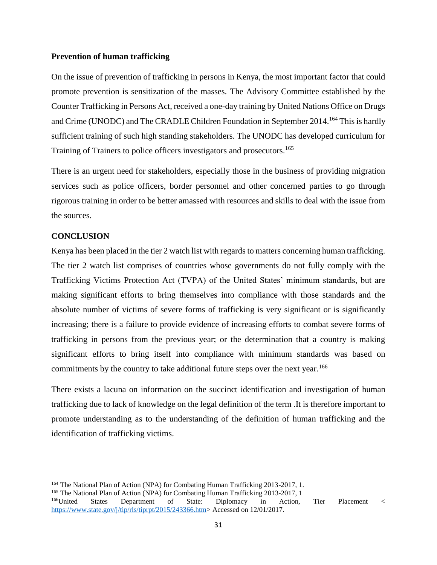#### **Prevention of human trafficking**

On the issue of prevention of trafficking in persons in Kenya, the most important factor that could promote prevention is sensitization of the masses. The Advisory Committee established by the Counter Trafficking in Persons Act, received a one-day training by United Nations Office on Drugs and Crime (UNODC) and The CRADLE Children Foundation in September 2014.<sup>164</sup> This is hardly sufficient training of such high standing stakeholders. The UNODC has developed curriculum for Training of Trainers to police officers investigators and prosecutors.<sup>165</sup>

There is an urgent need for stakeholders, especially those in the business of providing migration services such as police officers, border personnel and other concerned parties to go through rigorous training in order to be better amassed with resources and skills to deal with the issue from the sources.

## <span id="page-38-0"></span>**CONCLUSION**

 $\overline{\phantom{a}}$ 

Kenya has been placed in the tier 2 watch list with regards to matters concerning human trafficking. The tier 2 watch list comprises of countries whose governments do not fully comply with the Trafficking Victims Protection Act (TVPA) of the United States' minimum standards, but are making significant efforts to bring themselves into compliance with those standards and the absolute number of victims of severe forms of trafficking is very significant or is significantly increasing; there is a failure to provide evidence of increasing efforts to combat severe forms of trafficking in persons from the previous year; or the determination that a country is making significant efforts to bring itself into compliance with minimum standards was based on commitments by the country to take additional future steps over the next year.<sup>166</sup>

There exists a lacuna on information on the succinct identification and investigation of human trafficking due to lack of knowledge on the legal definition of the term .It is therefore important to promote understanding as to the understanding of the definition of human trafficking and the identification of trafficking victims.

<sup>164</sup> The National Plan of Action (NPA) for Combating Human Trafficking 2013-2017, 1.

<sup>165</sup> The National Plan of Action (NPA) for Combating Human Trafficking 2013-2017, 1

<sup>166</sup>United States Department of State: Diplomacy in Action, Tier Placement < [https://www.state.gov/j/tip/rls/tiprpt/2015/243366.htm>](https://www.state.gov/j/tip/rls/tiprpt/2015/243366.htm) Accessed on 12/01/2017.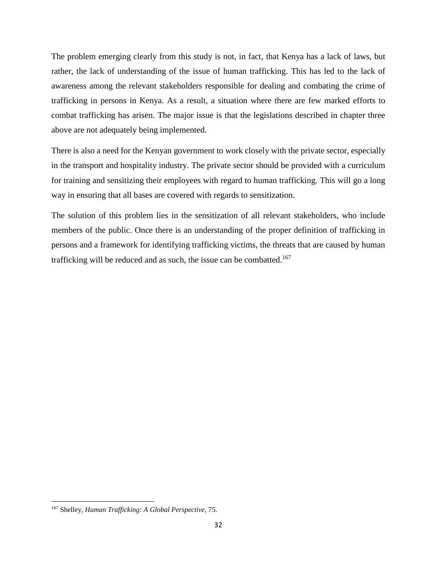The problem emerging clearly from this study is not, in fact, that Kenya has a lack of laws, but rather, the lack of understanding of the issue of human trafficking. This has led to the lack of awareness among the relevant stakeholders responsible for dealing and combating the crime of trafficking in persons in Kenya. As a result, a situation where there are few marked efforts to combat trafficking has arisen. The major issue is that the legislations described in chapter three above are not adequately being implemented.

There is also a need for the Kenyan government to work closely with the private sector, especially in the transport and hospitality industry. The private sector should be provided with a curriculum for training and sensitizing their employees with regard to human trafficking. This will go a long way in ensuring that all bases are covered with regards to sensitization.

The solution of this problem lies in the sensitization of all relevant stakeholders, who include members of the public. Once there is an understanding of the proper definition of trafficking in persons and a framework for identifying trafficking victims, the threats that are caused by human trafficking will be reduced and as such, the issue can be combatted.<sup>167</sup>

<sup>167</sup> Shelley, *Human Trafficking: A Global Perspective*, 75.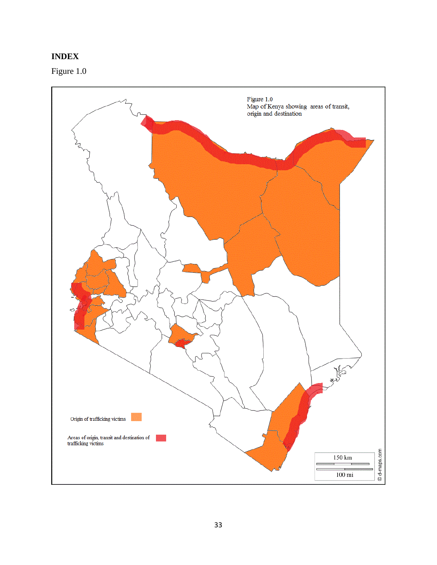## <span id="page-40-0"></span>**INDEX**

Figure 1.0

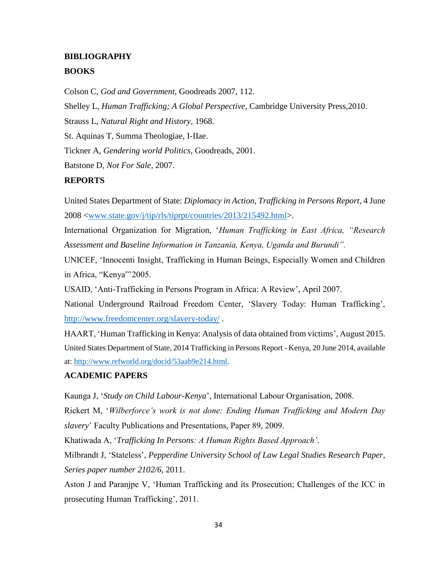## <span id="page-41-0"></span>**BIBLIOGRAPHY BOOKS**

Colson C, *God and Government*, Goodreads 2007, 112.

Shelley L, *Human Trafficking; A Global Perspective*, Cambridge University Press,2010.

Strauss L, *Natural Right and History,* 1968.

St. Aquinas T, Summa Theologiae, I-IIae.

Tickner A, *Gendering world Politics*, Goodreads, 2001.

Batstone D, *Not For Sale*, 2007.

## **REPORTS**

United States Department of State: *Diplomacy in Action, Trafficking in Persons Report*, 4 June 2008 [<www.state.gov/j/tip/rls/tiprpt/countries/2013/215492.html>](http://www.state.gov/j/tip/rls/tiprpt/countries/2013/215492.html).

International Organization for Migration, '*Human Trafficking in East Africa, "Research Assessment and Baseline Information in Tanzania, Kenya, Uganda and Burundi".*

UNICEF, 'Innocenti Insight, Trafficking in Human Beings, Especially Women and Children in Africa, "Kenya"'2005.

USAID, 'Anti-Trafficking in Persons Program in Africa: A Review', April 2007.

National Underground Railroad Freedom Center, 'Slavery Today: Human Trafficking', <http://www.freedomcenter.org/slavery-today/> .

HAART, 'Human Trafficking in Kenya: Analysis of data obtained from victims', August 2015. United States Department of State, 2014 Trafficking in Persons Report - Kenya, 20 June 2014, available at[: http://www.refworld.org/docid/53aab9e214.html.](http://www.refworld.org/docid/53aab9e214.html)

## **ACADEMIC PAPERS**

Kaunga J, '*Study on Child Labour-Kenya*', International Labour Organisation, 2008.

Rickert M, '*Wilberforce's work is not done: Ending Human Trafficking and Modern Day slavery*' Faculty Publications and Presentations, Paper 89, 2009.

Khatiwada A, '*Trafficking In Persons: A Human Rights Based Approach'*.

Milbrandt J, 'Stateless', *Pepperdine University School of Law Legal Studies Research Paper, Series paper number 2102/6,* 2011.

Aston J and Paranjpe V, 'Human Trafficking and its Prosecution; Challenges of the ICC in prosecuting Human Trafficking', 2011.